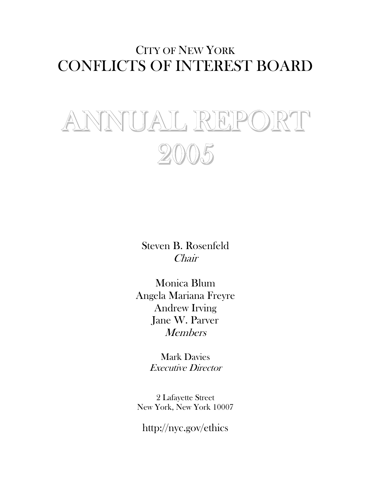# CITY OF NEW YORK CONFLICTS OF INTEREST BOARD

# NUAL REPO 2005

Steven B. Rosenfeld Chair

Monica Blum Angela Mariana Freyre Andrew Irving Jane W. Parver Members

> Mark Davies Executive Director

2 Lafayette Street New York, New York 10007

http://nyc.gov/ethics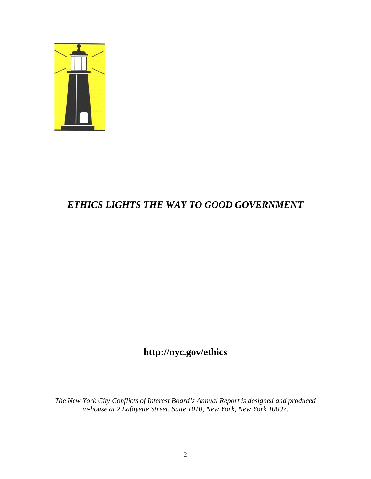

# *ETHICS LIGHTS THE WAY TO GOOD GOVERNMENT*

# **http://nyc.gov/ethics**

*The New York City Conflicts of Interest Board's Annual Report is designed and produced in-house at 2 Lafayette Street, Suite 1010, New York, New York 10007.*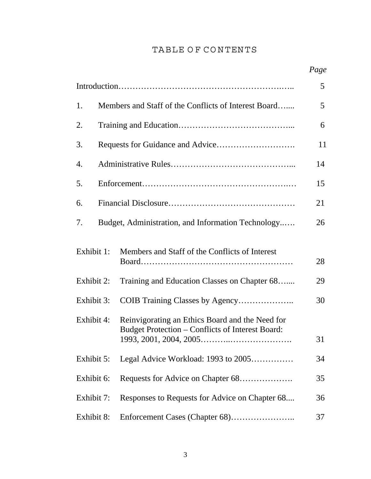# TABLE OF CONTENTS

|            |                                                      |                                                                                                     | Page |  |  |  |  |
|------------|------------------------------------------------------|-----------------------------------------------------------------------------------------------------|------|--|--|--|--|
|            |                                                      |                                                                                                     | 5    |  |  |  |  |
| 1.         | Members and Staff of the Conflicts of Interest Board |                                                                                                     |      |  |  |  |  |
| 2.         |                                                      |                                                                                                     |      |  |  |  |  |
| 3.         |                                                      |                                                                                                     | 11   |  |  |  |  |
| 4.         |                                                      |                                                                                                     | 14   |  |  |  |  |
| 5.         |                                                      |                                                                                                     | 15   |  |  |  |  |
| 6.         |                                                      |                                                                                                     | 21   |  |  |  |  |
| 7.         |                                                      | Budget, Administration, and Information Technology                                                  | 26   |  |  |  |  |
| Exhibit 1: |                                                      | Members and Staff of the Conflicts of Interest                                                      | 28   |  |  |  |  |
| Exhibit 2: |                                                      | Training and Education Classes on Chapter 68                                                        | 29   |  |  |  |  |
| Exhibit 3: |                                                      | COIB Training Classes by Agency                                                                     | 30   |  |  |  |  |
| Exhibit 4: |                                                      | Reinvigorating an Ethics Board and the Need for<br>Budget Protection - Conflicts of Interest Board: | 31   |  |  |  |  |
| Exhibit 5: |                                                      | Legal Advice Workload: 1993 to 2005                                                                 | 34   |  |  |  |  |
| Exhibit 6: |                                                      | Requests for Advice on Chapter 68                                                                   | 35   |  |  |  |  |
| Exhibit 7: |                                                      | Responses to Requests for Advice on Chapter 68                                                      | 36   |  |  |  |  |
| Exhibit 8: |                                                      |                                                                                                     | 37   |  |  |  |  |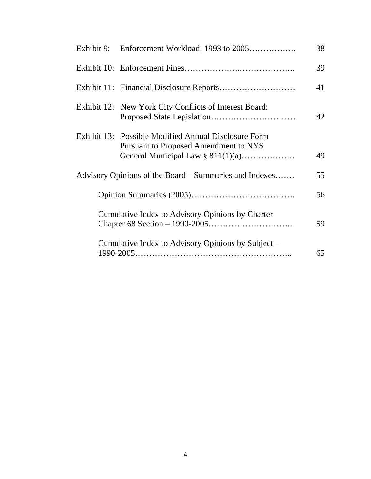|  |                                                                                                                                              | 38 |
|--|----------------------------------------------------------------------------------------------------------------------------------------------|----|
|  |                                                                                                                                              | 39 |
|  |                                                                                                                                              | 41 |
|  | Exhibit 12: New York City Conflicts of Interest Board:                                                                                       | 42 |
|  | Exhibit 13: Possible Modified Annual Disclosure Form<br><b>Pursuant to Proposed Amendment to NYS</b><br>General Municipal Law $\S 811(1)(a)$ | 49 |
|  | Advisory Opinions of the Board – Summaries and Indexes                                                                                       | 55 |
|  |                                                                                                                                              | 56 |
|  | Cumulative Index to Advisory Opinions by Charter                                                                                             | 59 |
|  | Cumulative Index to Advisory Opinions by Subject –                                                                                           | 65 |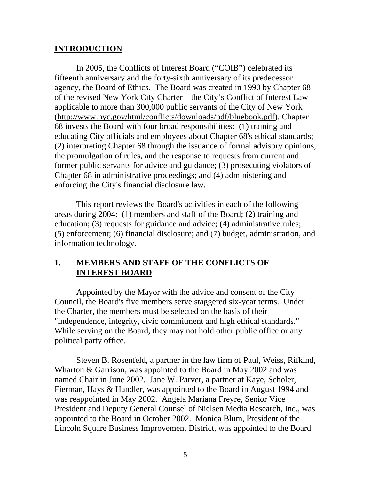# **INTRODUCTION**

 In 2005, the Conflicts of Interest Board ("COIB") celebrated its fifteenth anniversary and the forty-sixth anniversary of its predecessor agency, the Board of Ethics. The Board was created in 1990 by Chapter 68 of the revised New York City Charter – the City's Conflict of Interest Law applicable to more than 300,000 public servants of the City of New York (http://www.nyc.gov/html/conflicts/downloads/pdf/bluebook.pdf). Chapter 68 invests the Board with four broad responsibilities: (1) training and educating City officials and employees about Chapter 68's ethical standards; (2) interpreting Chapter 68 through the issuance of formal advisory opinions, the promulgation of rules, and the response to requests from current and former public servants for advice and guidance; (3) prosecuting violators of Chapter 68 in administrative proceedings; and (4) administering and enforcing the City's financial disclosure law.

 This report reviews the Board's activities in each of the following areas during 2004: (1) members and staff of the Board; (2) training and education; (3) requests for guidance and advice; (4) administrative rules; (5) enforcement; (6) financial disclosure; and (7) budget, administration, and information technology.

# **1. MEMBERS AND STAFF OF THE CONFLICTS OF INTEREST BOARD**

 Appointed by the Mayor with the advice and consent of the City Council, the Board's five members serve staggered six-year terms. Under the Charter, the members must be selected on the basis of their "independence, integrity, civic commitment and high ethical standards." While serving on the Board, they may not hold other public office or any political party office.

 Steven B. Rosenfeld, a partner in the law firm of Paul, Weiss, Rifkind, Wharton & Garrison, was appointed to the Board in May 2002 and was named Chair in June 2002. Jane W. Parver, a partner at Kaye, Scholer, Fierman, Hays & Handler, was appointed to the Board in August 1994 and was reappointed in May 2002. Angela Mariana Freyre, Senior Vice President and Deputy General Counsel of Nielsen Media Research, Inc., was appointed to the Board in October 2002. Monica Blum, President of the Lincoln Square Business Improvement District, was appointed to the Board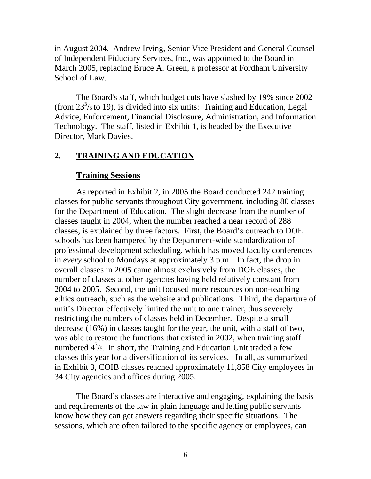in August 2004. Andrew Irving, Senior Vice President and General Counsel of Independent Fiduciary Services, Inc., was appointed to the Board in March 2005, replacing Bruce A. Green, a professor at Fordham University School of Law.

The Board's staff, which budget cuts have slashed by 19% since 2002 (from  $23^{3}/$ <sub>5</sub> to 19), is divided into six units: Training and Education, Legal Advice, Enforcement, Financial Disclosure, Administration, and Information Technology. The staff, listed in Exhibit 1, is headed by the Executive Director, Mark Davies.

# **2. TRAINING AND EDUCATION**

#### **Training Sessions**

As reported in Exhibit 2, in 2005 the Board conducted 242 training classes for public servants throughout City government, including 80 classes for the Department of Education. The slight decrease from the number of classes taught in 2004, when the number reached a near record of 288 classes, is explained by three factors. First, the Board's outreach to DOE schools has been hampered by the Department-wide standardization of professional development scheduling, which has moved faculty conferences in *every* school to Mondays at approximately 3 p.m. In fact, the drop in overall classes in 2005 came almost exclusively from DOE classes, the number of classes at other agencies having held relatively constant from 2004 to 2005. Second, the unit focused more resources on non-teaching ethics outreach, such as the website and publications. Third, the departure of unit's Director effectively limited the unit to one trainer, thus severely restricting the numbers of classes held in December. Despite a small decrease (16%) in classes taught for the year, the unit, with a staff of two, was able to restore the functions that existed in 2002, when training staff numbered  $4^3$ /5. In short, the Training and Education Unit traded a few classes this year for a diversification of its services. In all, as summarized in Exhibit 3, COIB classes reached approximately 11,858 City employees in 34 City agencies and offices during 2005.

The Board's classes are interactive and engaging, explaining the basis and requirements of the law in plain language and letting public servants know how they can get answers regarding their specific situations. The sessions, which are often tailored to the specific agency or employees, can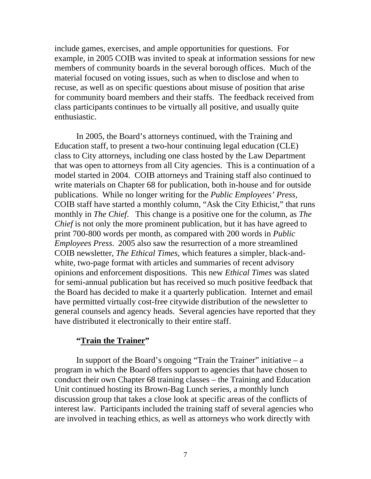include games, exercises, and ample opportunities for questions. For example, in 2005 COIB was invited to speak at information sessions for new members of community boards in the several borough offices. Much of the material focused on voting issues, such as when to disclose and when to recuse, as well as on specific questions about misuse of position that arise for community board members and their staffs. The feedback received from class participants continues to be virtually all positive, and usually quite enthusiastic.

In 2005, the Board's attorneys continued, with the Training and Education staff, to present a two-hour continuing legal education (CLE) class to City attorneys, including one class hosted by the Law Department that was open to attorneys from all City agencies. This is a continuation of a model started in 2004. COIB attorneys and Training staff also continued to write materials on Chapter 68 for publication, both in-house and for outside publications. While no longer writing for the *Public Employees' Press,*  COIB staff have started a monthly column, "Ask the City Ethicist," that runs monthly in *The Chief*. This change is a positive one for the column, as *The Chief* is not only the more prominent publication, but it has have agreed to print 700-800 words per month, as compared with 200 words in *Public Employees Press*. 2005 also saw the resurrection of a more streamlined COIB newsletter, *The Ethical Times*, which features a simpler, black-andwhite, two-page format with articles and summaries of recent advisory opinions and enforcement dispositions. This new *Ethical Times* was slated for semi-annual publication but has received so much positive feedback that the Board has decided to make it a quarterly publication. Internet and email have permitted virtually cost-free citywide distribution of the newsletter to general counsels and agency heads. Several agencies have reported that they have distributed it electronically to their entire staff.

# **"Train the Trainer"**

In support of the Board's ongoing "Train the Trainer" initiative  $- a$ program in which the Board offers support to agencies that have chosen to conduct their own Chapter 68 training classes – the Training and Education Unit continued hosting its Brown-Bag Lunch series, a monthly lunch discussion group that takes a close look at specific areas of the conflicts of interest law. Participants included the training staff of several agencies who are involved in teaching ethics, as well as attorneys who work directly with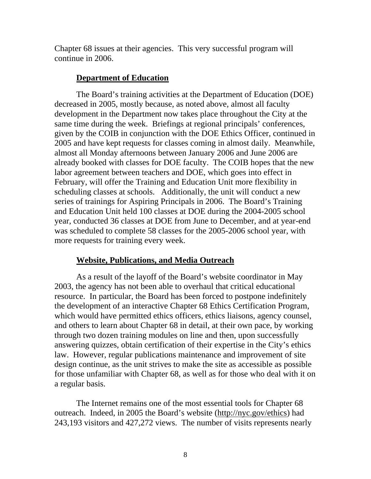Chapter 68 issues at their agencies. This very successful program will continue in 2006.

## **Department of Education**

The Board's training activities at the Department of Education (DOE) decreased in 2005, mostly because, as noted above, almost all faculty development in the Department now takes place throughout the City at the same time during the week. Briefings at regional principals' conferences, given by the COIB in conjunction with the DOE Ethics Officer, continued in 2005 and have kept requests for classes coming in almost daily. Meanwhile, almost all Monday afternoons between January 2006 and June 2006 are already booked with classes for DOE faculty. The COIB hopes that the new labor agreement between teachers and DOE, which goes into effect in February, will offer the Training and Education Unit more flexibility in scheduling classes at schools. Additionally, the unit will conduct a new series of trainings for Aspiring Principals in 2006. The Board's Training and Education Unit held 100 classes at DOE during the 2004-2005 school year, conducted 36 classes at DOE from June to December, and at year-end was scheduled to complete 58 classes for the 2005-2006 school year, with more requests for training every week.

# **Website, Publications, and Media Outreach**

As a result of the layoff of the Board's website coordinator in May 2003, the agency has not been able to overhaul that critical educational resource. In particular, the Board has been forced to postpone indefinitely the development of an interactive Chapter 68 Ethics Certification Program, which would have permitted ethics officers, ethics liaisons, agency counsel, and others to learn about Chapter 68 in detail, at their own pace, by working through two dozen training modules on line and then, upon successfully answering quizzes, obtain certification of their expertise in the City's ethics law. However, regular publications maintenance and improvement of site design continue, as the unit strives to make the site as accessible as possible for those unfamiliar with Chapter 68, as well as for those who deal with it on a regular basis.

The Internet remains one of the most essential tools for Chapter 68 outreach. Indeed, in 2005 the Board's website (http://nyc.gov/ethics) had 243,193 visitors and 427,272 views. The number of visits represents nearly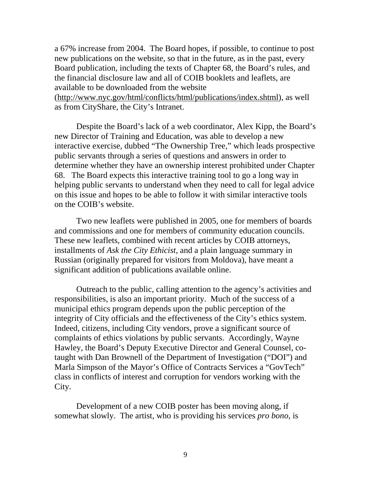a 67% increase from 2004. The Board hopes, if possible, to continue to post new publications on the website, so that in the future, as in the past, every Board publication, including the texts of Chapter 68, the Board's rules, and the financial disclosure law and all of COIB booklets and leaflets, are available to be downloaded from the website

(http://www.nyc.gov/html/conflicts/html/publications/index.shtml), as well as from CityShare, the City's Intranet.

Despite the Board's lack of a web coordinator, Alex Kipp, the Board's new Director of Training and Education, was able to develop a new interactive exercise, dubbed "The Ownership Tree," which leads prospective public servants through a series of questions and answers in order to determine whether they have an ownership interest prohibited under Chapter 68. The Board expects this interactive training tool to go a long way in helping public servants to understand when they need to call for legal advice on this issue and hopes to be able to follow it with similar interactive tools on the COIB's website.

Two new leaflets were published in 2005, one for members of boards and commissions and one for members of community education councils. These new leaflets, combined with recent articles by COIB attorneys, installments of *Ask the City Ethicist*, and a plain language summary in Russian (originally prepared for visitors from Moldova), have meant a significant addition of publications available online.

Outreach to the public, calling attention to the agency's activities and responsibilities, is also an important priority. Much of the success of a municipal ethics program depends upon the public perception of the integrity of City officials and the effectiveness of the City's ethics system. Indeed, citizens, including City vendors, prove a significant source of complaints of ethics violations by public servants. Accordingly, Wayne Hawley, the Board's Deputy Executive Director and General Counsel, cotaught with Dan Brownell of the Department of Investigation ("DOI") and Marla Simpson of the Mayor's Office of Contracts Services a "GovTech" class in conflicts of interest and corruption for vendors working with the City.

Development of a new COIB poster has been moving along, if somewhat slowly. The artist, who is providing his services *pro bono*, is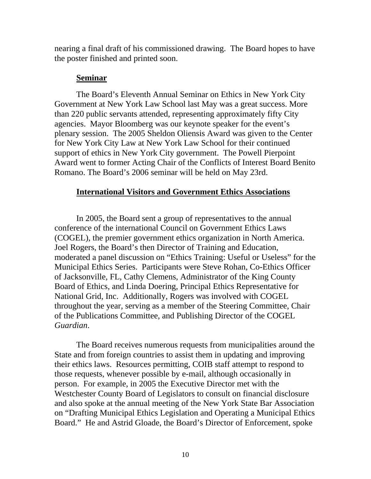nearing a final draft of his commissioned drawing. The Board hopes to have the poster finished and printed soon.

## **Seminar**

The Board's Eleventh Annual Seminar on Ethics in New York City Government at New York Law School last May was a great success. More than 220 public servants attended, representing approximately fifty City agencies. Mayor Bloomberg was our keynote speaker for the event's plenary session. The 2005 Sheldon Oliensis Award was given to the Center for New York City Law at New York Law School for their continued support of ethics in New York City government. The Powell Pierpoint Award went to former Acting Chair of the Conflicts of Interest Board Benito Romano. The Board's 2006 seminar will be held on May 23rd.

# **International Visitors and Government Ethics Associations**

In 2005, the Board sent a group of representatives to the annual conference of the international Council on Government Ethics Laws (COGEL), the premier government ethics organization in North America. Joel Rogers, the Board's then Director of Training and Education, moderated a panel discussion on "Ethics Training: Useful or Useless" for the Municipal Ethics Series. Participants were Steve Rohan, Co-Ethics Officer of Jacksonville, FL, Cathy Clemens, Administrator of the King County Board of Ethics, and Linda Doering, Principal Ethics Representative for National Grid, Inc. Additionally, Rogers was involved with COGEL throughout the year, serving as a member of the Steering Committee, Chair of the Publications Committee, and Publishing Director of the COGEL *Guardian*.

The Board receives numerous requests from municipalities around the State and from foreign countries to assist them in updating and improving their ethics laws. Resources permitting, COIB staff attempt to respond to those requests, whenever possible by e-mail, although occasionally in person. For example, in 2005 the Executive Director met with the Westchester County Board of Legislators to consult on financial disclosure and also spoke at the annual meeting of the New York State Bar Association on "Drafting Municipal Ethics Legislation and Operating a Municipal Ethics Board." He and Astrid Gloade, the Board's Director of Enforcement, spoke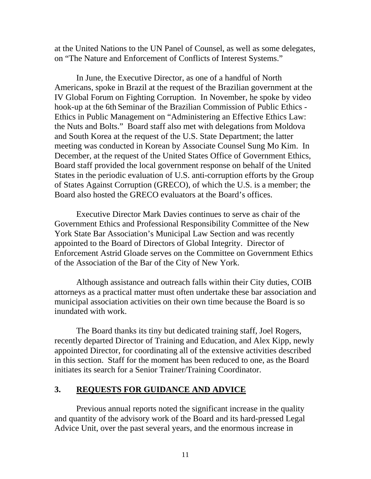at the United Nations to the UN Panel of Counsel, as well as some delegates, on "The Nature and Enforcement of Conflicts of Interest Systems."

In June, the Executive Director, as one of a handful of North Americans, spoke in Brazil at the request of the Brazilian government at the IV Global Forum on Fighting Corruption. In November, he spoke by video hook-up at the 6th Seminar of the Brazilian Commission of Public Ethics - Ethics in Public Management on "Administering an Effective Ethics Law: the Nuts and Bolts." Board staff also met with delegations from Moldova and South Korea at the request of the U.S. State Department; the latter meeting was conducted in Korean by Associate Counsel Sung Mo Kim. In December, at the request of the United States Office of Government Ethics, Board staff provided the local government response on behalf of the United States in the periodic evaluation of U.S. anti-corruption efforts by the Group of States Against Corruption (GRECO), of which the U.S. is a member; the Board also hosted the GRECO evaluators at the Board's offices.

Executive Director Mark Davies continues to serve as chair of the Government Ethics and Professional Responsibility Committee of the New York State Bar Association's Municipal Law Section and was recently appointed to the Board of Directors of Global Integrity. Director of Enforcement Astrid Gloade serves on the Committee on Government Ethics of the Association of the Bar of the City of New York.

Although assistance and outreach falls within their City duties, COIB attorneys as a practical matter must often undertake these bar association and municipal association activities on their own time because the Board is so inundated with work.

The Board thanks its tiny but dedicated training staff, Joel Rogers, recently departed Director of Training and Education, and Alex Kipp, newly appointed Director, for coordinating all of the extensive activities described in this section. Staff for the moment has been reduced to one, as the Board initiates its search for a Senior Trainer/Training Coordinator.

# **3. REQUESTS FOR GUIDANCE AND ADVICE**

Previous annual reports noted the significant increase in the quality and quantity of the advisory work of the Board and its hard-pressed Legal Advice Unit, over the past several years, and the enormous increase in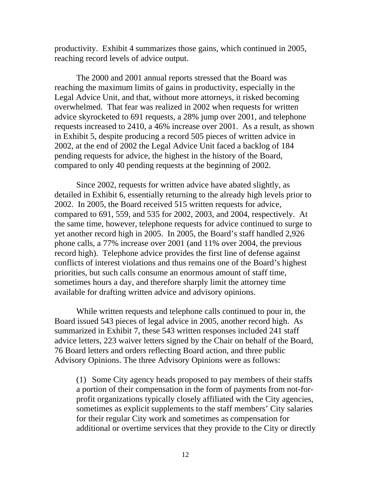productivity. Exhibit 4 summarizes those gains, which continued in 2005, reaching record levels of advice output.

The 2000 and 2001 annual reports stressed that the Board was reaching the maximum limits of gains in productivity, especially in the Legal Advice Unit, and that, without more attorneys, it risked becoming overwhelmed. That fear was realized in 2002 when requests for written advice skyrocketed to 691 requests, a 28% jump over 2001, and telephone requests increased to 2410, a 46% increase over 2001. As a result, as shown in Exhibit 5, despite producing a record 505 pieces of written advice in 2002, at the end of 2002 the Legal Advice Unit faced a backlog of 184 pending requests for advice, the highest in the history of the Board, compared to only 40 pending requests at the beginning of 2002.

Since 2002, requests for written advice have abated slightly, as detailed in Exhibit 6, essentially returning to the already high levels prior to 2002. In 2005, the Board received 515 written requests for advice, compared to 691, 559, and 535 for 2002, 2003, and 2004, respectively. At the same time, however, telephone requests for advice continued to surge to yet another record high in 2005. In 2005, the Board's staff handled 2,926 phone calls, a 77% increase over 2001 (and 11% over 2004, the previous record high). Telephone advice provides the first line of defense against conflicts of interest violations and thus remains one of the Board's highest priorities, but such calls consume an enormous amount of staff time, sometimes hours a day, and therefore sharply limit the attorney time available for drafting written advice and advisory opinions.

While written requests and telephone calls continued to pour in, the Board issued 543 pieces of legal advice in 2005, another record high. As summarized in Exhibit 7, these 543 written responses included 241 staff advice letters, 223 waiver letters signed by the Chair on behalf of the Board, 76 Board letters and orders reflecting Board action, and three public Advisory Opinions. The three Advisory Opinions were as follows:

(1) Some City agency heads proposed to pay members of their staffs a portion of their compensation in the form of payments from not-forprofit organizations typically closely affiliated with the City agencies, sometimes as explicit supplements to the staff members' City salaries for their regular City work and sometimes as compensation for additional or overtime services that they provide to the City or directly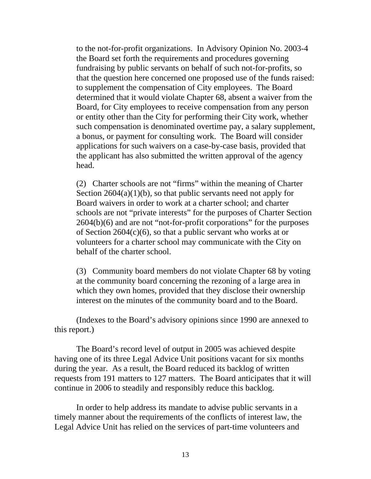to the not-for-profit organizations. In Advisory Opinion No. 2003-4 the Board set forth the requirements and procedures governing fundraising by public servants on behalf of such not-for-profits, so that the question here concerned one proposed use of the funds raised: to supplement the compensation of City employees. The Board determined that it would violate Chapter 68, absent a waiver from the Board, for City employees to receive compensation from any person or entity other than the City for performing their City work, whether such compensation is denominated overtime pay, a salary supplement, a bonus, or payment for consulting work. The Board will consider applications for such waivers on a case-by-case basis, provided that the applicant has also submitted the written approval of the agency head.

(2) Charter schools are not "firms" within the meaning of Charter Section  $2604(a)(1)(b)$ , so that public servants need not apply for Board waivers in order to work at a charter school; and charter schools are not "private interests" for the purposes of Charter Section 2604(b)(6) and are not "not-for-profit corporations" for the purposes of Section 2604(c)(6), so that a public servant who works at or volunteers for a charter school may communicate with the City on behalf of the charter school.

(3) Community board members do not violate Chapter 68 by voting at the community board concerning the rezoning of a large area in which they own homes, provided that they disclose their ownership interest on the minutes of the community board and to the Board.

(Indexes to the Board's advisory opinions since 1990 are annexed to this report.)

The Board's record level of output in 2005 was achieved despite having one of its three Legal Advice Unit positions vacant for six months during the year. As a result, the Board reduced its backlog of written requests from 191 matters to 127 matters. The Board anticipates that it will continue in 2006 to steadily and responsibly reduce this backlog.

In order to help address its mandate to advise public servants in a timely manner about the requirements of the conflicts of interest law, the Legal Advice Unit has relied on the services of part-time volunteers and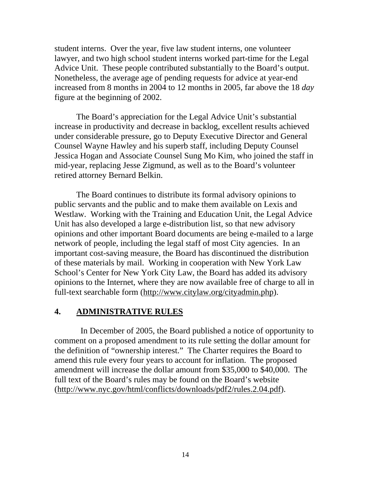student interns. Over the year, five law student interns, one volunteer lawyer, and two high school student interns worked part-time for the Legal Advice Unit. These people contributed substantially to the Board's output. Nonetheless, the average age of pending requests for advice at year-end increased from 8 months in 2004 to 12 months in 2005, far above the 18 *day* figure at the beginning of 2002.

The Board's appreciation for the Legal Advice Unit's substantial increase in productivity and decrease in backlog, excellent results achieved under considerable pressure, go to Deputy Executive Director and General Counsel Wayne Hawley and his superb staff, including Deputy Counsel Jessica Hogan and Associate Counsel Sung Mo Kim, who joined the staff in mid-year, replacing Jesse Zigmund, as well as to the Board's volunteer retired attorney Bernard Belkin.

The Board continues to distribute its formal advisory opinions to public servants and the public and to make them available on Lexis and Westlaw. Working with the Training and Education Unit, the Legal Advice Unit has also developed a large e-distribution list, so that new advisory opinions and other important Board documents are being e-mailed to a large network of people, including the legal staff of most City agencies. In an important cost-saving measure, the Board has discontinued the distribution of these materials by mail. Working in cooperation with New York Law School's Center for New York City Law, the Board has added its advisory opinions to the Internet, where they are now available free of charge to all in full-text searchable form (http://www.citylaw.org/cityadmin.php).

#### **4. ADMINISTRATIVE RULES**

 In December of 2005, the Board published a notice of opportunity to comment on a proposed amendment to its rule setting the dollar amount for the definition of "ownership interest." The Charter requires the Board to amend this rule every four years to account for inflation. The proposed amendment will increase the dollar amount from \$35,000 to \$40,000. The full text of the Board's rules may be found on the Board's website (http://www.nyc.gov/html/conflicts/downloads/pdf2/rules.2.04.pdf).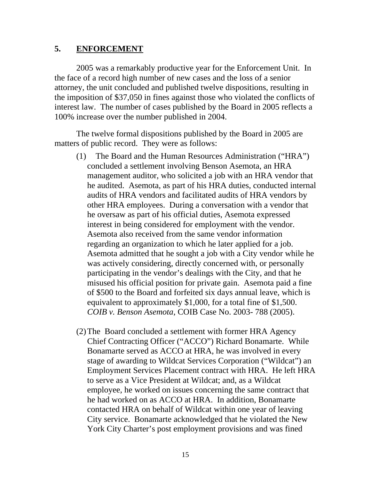### **5. ENFORCEMENT**

2005 was a remarkably productive year for the Enforcement Unit. In the face of a record high number of new cases and the loss of a senior attorney, the unit concluded and published twelve dispositions, resulting in the imposition of \$37,050 in fines against those who violated the conflicts of interest law. The number of cases published by the Board in 2005 reflects a 100% increase over the number published in 2004.

The twelve formal dispositions published by the Board in 2005 are matters of public record. They were as follows:

- (1) The Board and the Human Resources Administration ("HRA") concluded a settlement involving Benson Asemota, an HRA management auditor, who solicited a job with an HRA vendor that he audited. Asemota, as part of his HRA duties, conducted internal audits of HRA vendors and facilitated audits of HRA vendors by other HRA employees. During a conversation with a vendor that he oversaw as part of his official duties, Asemota expressed interest in being considered for employment with the vendor. Asemota also received from the same vendor information regarding an organization to which he later applied for a job. Asemota admitted that he sought a job with a City vendor while he was actively considering, directly concerned with, or personally participating in the vendor's dealings with the City, and that he misused his official position for private gain. Asemota paid a fine of \$500 to the Board and forfeited six days annual leave, which is equivalent to approximately \$1,000, for a total fine of \$1,500. *COIB v. Benson Asemota*, COIB Case No. 2003- 788 (2005).
- (2)The Board concluded a settlement with former HRA Agency Chief Contracting Officer ("ACCO") Richard Bonamarte. While Bonamarte served as ACCO at HRA, he was involved in every stage of awarding to Wildcat Services Corporation ("Wildcat") an Employment Services Placement contract with HRA. He left HRA to serve as a Vice President at Wildcat; and, as a Wildcat employee, he worked on issues concerning the same contract that he had worked on as ACCO at HRA. In addition, Bonamarte contacted HRA on behalf of Wildcat within one year of leaving City service. Bonamarte acknowledged that he violated the New York City Charter's post employment provisions and was fined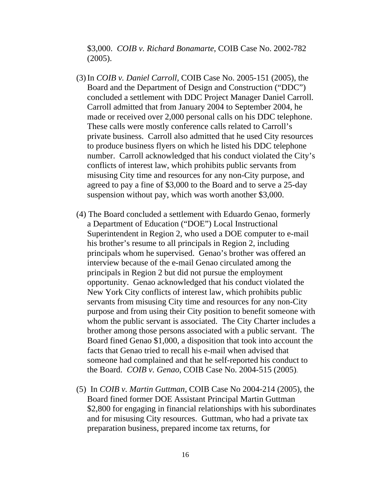\$3,000. *COIB v. Richard Bonamarte*, COIB Case No. 2002-782 (2005).

- (3) In *COIB v. Daniel Carroll,* COIB Case No. 2005-151 (2005), the Board and the Department of Design and Construction ("DDC") concluded a settlement with DDC Project Manager Daniel Carroll. Carroll admitted that from January 2004 to September 2004, he made or received over 2,000 personal calls on his DDC telephone. These calls were mostly conference calls related to Carroll's private business. Carroll also admitted that he used City resources to produce business flyers on which he listed his DDC telephone number. Carroll acknowledged that his conduct violated the City's conflicts of interest law, which prohibits public servants from misusing City time and resources for any non-City purpose, and agreed to pay a fine of \$3,000 to the Board and to serve a 25-day suspension without pay, which was worth another \$3,000.
- (4) The Board concluded a settlement with Eduardo Genao, formerly a Department of Education ("DOE") Local Instructional Superintendent in Region 2, who used a DOE computer to e-mail his brother's resume to all principals in Region 2, including principals whom he supervised. Genao's brother was offered an interview because of the e-mail Genao circulated among the principals in Region 2 but did not pursue the employment opportunity. Genao acknowledged that his conduct violated the New York City conflicts of interest law, which prohibits public servants from misusing City time and resources for any non-City purpose and from using their City position to benefit someone with whom the public servant is associated. The City Charter includes a brother among those persons associated with a public servant. The Board fined Genao \$1,000, a disposition that took into account the facts that Genao tried to recall his e-mail when advised that someone had complained and that he self-reported his conduct to the Board. *COIB v. Genao*, COIB Case No. 2004-515 (2005).
- (5) In *COIB v. Martin Guttman*, COIB Case No 2004-214 (2005), the Board fined former DOE Assistant Principal Martin Guttman \$2,800 for engaging in financial relationships with his subordinates and for misusing City resources. Guttman, who had a private tax preparation business, prepared income tax returns, for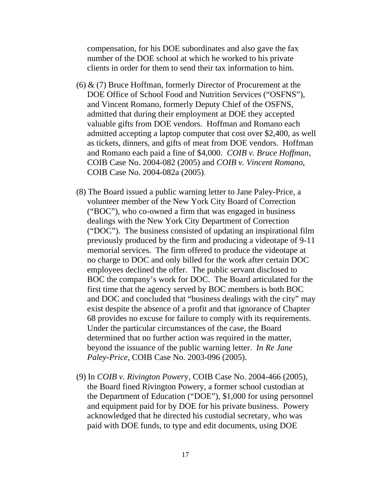compensation, for his DOE subordinates and also gave the fax number of the DOE school at which he worked to his private clients in order for them to send their tax information to him.

- $(6)$  &  $(7)$  Bruce Hoffman, formerly Director of Procurement at the DOE Office of School Food and Nutrition Services ("OSFNS"), and Vincent Romano, formerly Deputy Chief of the OSFNS, admitted that during their employment at DOE they accepted valuable gifts from DOE vendors. Hoffman and Romano each admitted accepting a laptop computer that cost over \$2,400, as well as tickets, dinners, and gifts of meat from DOE vendors. Hoffman and Romano each paid a fine of \$4,000. *COIB v. Bruce Hoffman*, COIB Case No. 2004-082 (2005) and *COIB v. Vincent Romano*, COIB Case No. 2004-082a (2005).
- (8) The Board issued a public warning letter to Jane Paley-Price, a volunteer member of the New York City Board of Correction ("BOC"), who co-owned a firm that was engaged in business dealings with the New York City Department of Correction ("DOC"). The business consisted of updating an inspirational film previously produced by the firm and producing a videotape of 9-11 memorial services. The firm offered to produce the videotape at no charge to DOC and only billed for the work after certain DOC employees declined the offer. The public servant disclosed to BOC the company's work for DOC. The Board articulated for the first time that the agency served by BOC members is both BOC and DOC and concluded that "business dealings with the city" may exist despite the absence of a profit and that ignorance of Chapter 68 provides no excuse for failure to comply with its requirements. Under the particular circumstances of the case, the Board determined that no further action was required in the matter, beyond the issuance of the public warning letter. *In Re Jane Paley-Price,* COIB Case No. 2003-096 (2005).
- (9) In *COIB v. Rivington Power*y, COIB Case No. 2004-466 (2005), the Board fined Rivington Powery, a former school custodian at the Department of Education ("DOE"), \$1,000 for using personnel and equipment paid for by DOE for his private business. Powery acknowledged that he directed his custodial secretary, who was paid with DOE funds, to type and edit documents, using DOE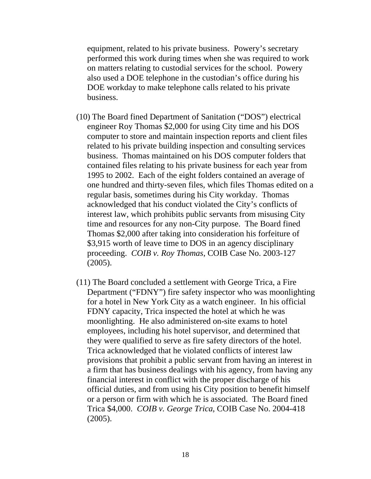equipment, related to his private business. Powery's secretary performed this work during times when she was required to work on matters relating to custodial services for the school. Powery also used a DOE telephone in the custodian's office during his DOE workday to make telephone calls related to his private business.

- (10) The Board fined Department of Sanitation ("DOS") electrical engineer Roy Thomas \$2,000 for using City time and his DOS computer to store and maintain inspection reports and client files related to his private building inspection and consulting services business. Thomas maintained on his DOS computer folders that contained files relating to his private business for each year from 1995 to 2002. Each of the eight folders contained an average of one hundred and thirty-seven files, which files Thomas edited on a regular basis, sometimes during his City workday. Thomas acknowledged that his conduct violated the City's conflicts of interest law, which prohibits public servants from misusing City time and resources for any non-City purpose. The Board fined Thomas \$2,000 after taking into consideration his forfeiture of \$3,915 worth of leave time to DOS in an agency disciplinary proceeding. *COIB v. Roy Thomas*, COIB Case No. 2003-127 (2005).
- (11) The Board concluded a settlement with George Trica, a Fire Department ("FDNY") fire safety inspector who was moonlighting for a hotel in New York City as a watch engineer. In his official FDNY capacity, Trica inspected the hotel at which he was moonlighting. He also administered on-site exams to hotel employees, including his hotel supervisor, and determined that they were qualified to serve as fire safety directors of the hotel. Trica acknowledged that he violated conflicts of interest law provisions that prohibit a public servant from having an interest in a firm that has business dealings with his agency, from having any financial interest in conflict with the proper discharge of his official duties, and from using his City position to benefit himself or a person or firm with which he is associated. The Board fined Trica \$4,000. *COIB v. George Trica*, COIB Case No. 2004-418 (2005).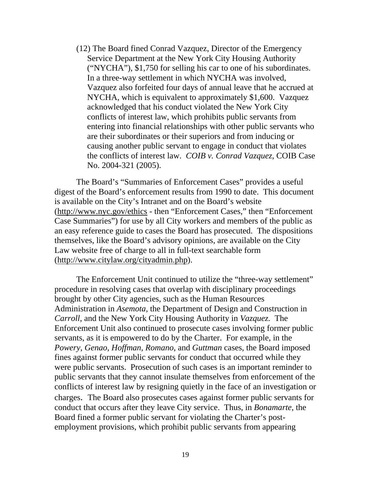(12) The Board fined Conrad Vazquez, Director of the Emergency Service Department at the New York City Housing Authority ("NYCHA"), \$1,750 for selling his car to one of his subordinates. In a three-way settlement in which NYCHA was involved, Vazquez also forfeited four days of annual leave that he accrued at NYCHA, which is equivalent to approximately \$1,600. Vazquez acknowledged that his conduct violated the New York City conflicts of interest law, which prohibits public servants from entering into financial relationships with other public servants who are their subordinates or their superiors and from inducing or causing another public servant to engage in conduct that violates the conflicts of interest law. *COIB v. Conrad Vazquez*, COIB Case No. 2004-321 (2005).

The Board's "Summaries of Enforcement Cases" provides a useful digest of the Board's enforcement results from 1990 to date. This document is available on the City's Intranet and on the Board's website (http://www.nyc.gov/ethics - then "Enforcement Cases," then "Enforcement Case Summaries") for use by all City workers and members of the public as an easy reference guide to cases the Board has prosecuted. The dispositions themselves, like the Board's advisory opinions, are available on the City Law website free of charge to all in full-text searchable form (http://www.citylaw.org/cityadmin.php).

The Enforcement Unit continued to utilize the "three-way settlement" procedure in resolving cases that overlap with disciplinary proceedings brought by other City agencies, such as the Human Resources Administration in *Asemota,* the Department of Design and Construction in *Carroll*, and the New York City Housing Authority in *Vazquez.* The Enforcement Unit also continued to prosecute cases involving former public servants, as it is empowered to do by the Charter. For example, in the *Powery*, *Genao*, *Hoffman*, *Romano*, and *Guttman* cases, the Board imposed fines against former public servants for conduct that occurred while they were public servants. Prosecution of such cases is an important reminder to public servants that they cannot insulate themselves from enforcement of the conflicts of interest law by resigning quietly in the face of an investigation or charges. The Board also prosecutes cases against former public servants for conduct that occurs after they leave City service. Thus, in *Bonamarte*, the Board fined a former public servant for violating the Charter's postemployment provisions, which prohibit public servants from appearing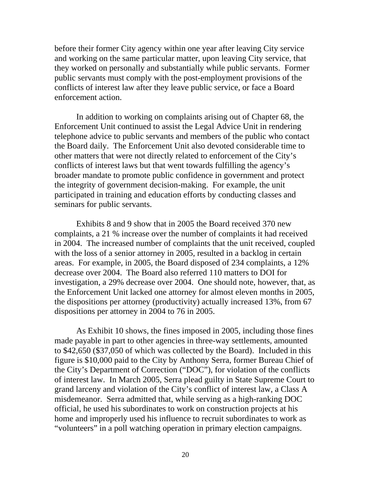before their former City agency within one year after leaving City service and working on the same particular matter, upon leaving City service, that they worked on personally and substantially while public servants. Former public servants must comply with the post-employment provisions of the conflicts of interest law after they leave public service, or face a Board enforcement action.

In addition to working on complaints arising out of Chapter 68, the Enforcement Unit continued to assist the Legal Advice Unit in rendering telephone advice to public servants and members of the public who contact the Board daily. The Enforcement Unit also devoted considerable time to other matters that were not directly related to enforcement of the City's conflicts of interest laws but that went towards fulfilling the agency's broader mandate to promote public confidence in government and protect the integrity of government decision-making. For example, the unit participated in training and education efforts by conducting classes and seminars for public servants.

Exhibits 8 and 9 show that in 2005 the Board received 370 new complaints, a 21 % increase over the number of complaints it had received in 2004. The increased number of complaints that the unit received, coupled with the loss of a senior attorney in 2005, resulted in a backlog in certain areas. For example, in 2005, the Board disposed of 234 complaints, a 12% decrease over 2004. The Board also referred 110 matters to DOI for investigation, a 29% decrease over 2004. One should note, however, that, as the Enforcement Unit lacked one attorney for almost eleven months in 2005, the dispositions per attorney (productivity) actually increased 13%, from 67 dispositions per attorney in 2004 to 76 in 2005.

As Exhibit 10 shows, the fines imposed in 2005, including those fines made payable in part to other agencies in three-way settlements, amounted to \$42,650 (\$37,050 of which was collected by the Board). Included in this figure is \$10,000 paid to the City by Anthony Serra, former Bureau Chief of the City's Department of Correction ("DOC"), for violation of the conflicts of interest law. In March 2005, Serra plead guilty in State Supreme Court to grand larceny and violation of the City's conflict of interest law, a Class A misdemeanor. Serra admitted that, while serving as a high-ranking DOC official, he used his subordinates to work on construction projects at his home and improperly used his influence to recruit subordinates to work as "volunteers" in a poll watching operation in primary election campaigns.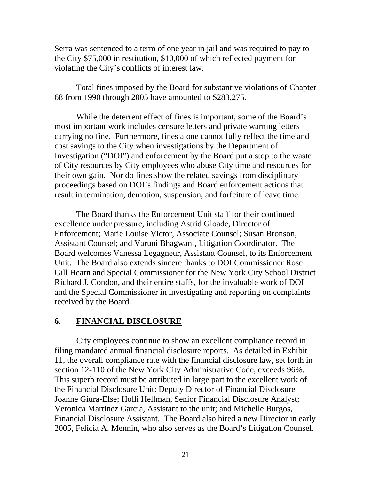Serra was sentenced to a term of one year in jail and was required to pay to the City \$75,000 in restitution, \$10,000 of which reflected payment for violating the City's conflicts of interest law.

Total fines imposed by the Board for substantive violations of Chapter 68 from 1990 through 2005 have amounted to \$283,275.

While the deterrent effect of fines is important, some of the Board's most important work includes censure letters and private warning letters carrying no fine. Furthermore, fines alone cannot fully reflect the time and cost savings to the City when investigations by the Department of Investigation ("DOI") and enforcement by the Board put a stop to the waste of City resources by City employees who abuse City time and resources for their own gain. Nor do fines show the related savings from disciplinary proceedings based on DOI's findings and Board enforcement actions that result in termination, demotion, suspension, and forfeiture of leave time.

The Board thanks the Enforcement Unit staff for their continued excellence under pressure, including Astrid Gloade, Director of Enforcement; Marie Louise Victor, Associate Counsel; Susan Bronson, Assistant Counsel; and Varuni Bhagwant, Litigation Coordinator. The Board welcomes Vanessa Legagneur, Assistant Counsel, to its Enforcement Unit. The Board also extends sincere thanks to DOI Commissioner Rose Gill Hearn and Special Commissioner for the New York City School District Richard J. Condon, and their entire staffs, for the invaluable work of DOI and the Special Commissioner in investigating and reporting on complaints received by the Board.

### **6. FINANCIAL DISCLOSURE**

City employees continue to show an excellent compliance record in filing mandated annual financial disclosure reports. As detailed in Exhibit 11, the overall compliance rate with the financial disclosure law, set forth in section 12-110 of the New York City Administrative Code, exceeds 96%. This superb record must be attributed in large part to the excellent work of the Financial Disclosure Unit: Deputy Director of Financial Disclosure Joanne Giura-Else; Holli Hellman, Senior Financial Disclosure Analyst; Veronica Martinez Garcia, Assistant to the unit; and Michelle Burgos, Financial Disclosure Assistant. The Board also hired a new Director in early 2005, Felicia A. Mennin, who also serves as the Board's Litigation Counsel.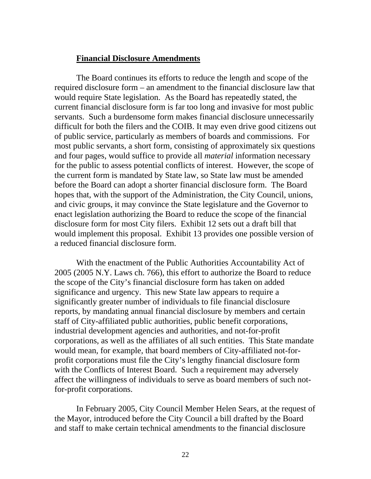#### **Financial Disclosure Amendments**

The Board continues its efforts to reduce the length and scope of the required disclosure form – an amendment to the financial disclosure law that would require State legislation. As the Board has repeatedly stated, the current financial disclosure form is far too long and invasive for most public servants. Such a burdensome form makes financial disclosure unnecessarily difficult for both the filers and the COIB. It may even drive good citizens out of public service, particularly as members of boards and commissions. For most public servants, a short form, consisting of approximately six questions and four pages, would suffice to provide all *material* information necessary for the public to assess potential conflicts of interest. However, the scope of the current form is mandated by State law, so State law must be amended before the Board can adopt a shorter financial disclosure form. The Board hopes that, with the support of the Administration, the City Council, unions, and civic groups, it may convince the State legislature and the Governor to enact legislation authorizing the Board to reduce the scope of the financial disclosure form for most City filers. Exhibit 12 sets out a draft bill that would implement this proposal. Exhibit 13 provides one possible version of a reduced financial disclosure form.

With the enactment of the Public Authorities Accountability Act of 2005 (2005 N.Y. Laws ch. 766), this effort to authorize the Board to reduce the scope of the City's financial disclosure form has taken on added significance and urgency. This new State law appears to require a significantly greater number of individuals to file financial disclosure reports, by mandating annual financial disclosure by members and certain staff of City-affiliated public authorities, public benefit corporations, industrial development agencies and authorities, and not-for-profit corporations, as well as the affiliates of all such entities. This State mandate would mean, for example, that board members of City-affiliated not-forprofit corporations must file the City's lengthy financial disclosure form with the Conflicts of Interest Board. Such a requirement may adversely affect the willingness of individuals to serve as board members of such notfor-profit corporations.

In February 2005, City Council Member Helen Sears, at the request of the Mayor, introduced before the City Council a bill drafted by the Board and staff to make certain technical amendments to the financial disclosure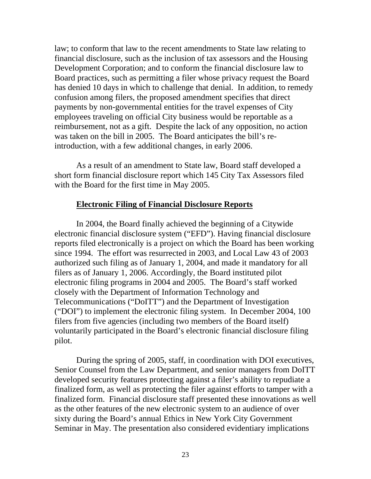law; to conform that law to the recent amendments to State law relating to financial disclosure, such as the inclusion of tax assessors and the Housing Development Corporation; and to conform the financial disclosure law to Board practices, such as permitting a filer whose privacy request the Board has denied 10 days in which to challenge that denial. In addition, to remedy confusion among filers, the proposed amendment specifies that direct payments by non-governmental entities for the travel expenses of City employees traveling on official City business would be reportable as a reimbursement, not as a gift. Despite the lack of any opposition, no action was taken on the bill in 2005. The Board anticipates the bill's reintroduction, with a few additional changes, in early 2006.

As a result of an amendment to State law, Board staff developed a short form financial disclosure report which 145 City Tax Assessors filed with the Board for the first time in May 2005.

#### **Electronic Filing of Financial Disclosure Reports**

In 2004, the Board finally achieved the beginning of a Citywide electronic financial disclosure system ("EFD"). Having financial disclosure reports filed electronically is a project on which the Board has been working since 1994. The effort was resurrected in 2003, and Local Law 43 of 2003 authorized such filing as of January 1, 2004, and made it mandatory for all filers as of January 1, 2006. Accordingly, the Board instituted pilot electronic filing programs in 2004 and 2005. The Board's staff worked closely with the Department of Information Technology and Telecommunications ("DoITT") and the Department of Investigation ("DOI") to implement the electronic filing system. In December 2004, 100 filers from five agencies (including two members of the Board itself) voluntarily participated in the Board's electronic financial disclosure filing pilot.

During the spring of 2005, staff, in coordination with DOI executives, Senior Counsel from the Law Department, and senior managers from DoITT developed security features protecting against a filer's ability to repudiate a finalized form, as well as protecting the filer against efforts to tamper with a finalized form. Financial disclosure staff presented these innovations as well as the other features of the new electronic system to an audience of over sixty during the Board's annual Ethics in New York City Government Seminar in May. The presentation also considered evidentiary implications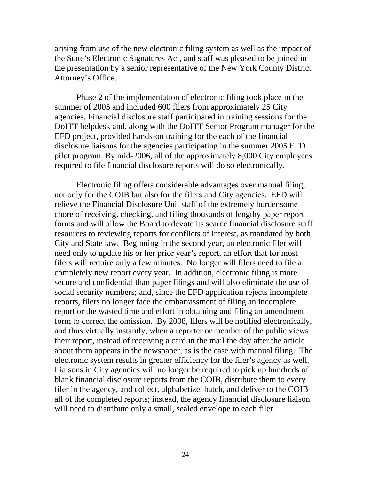arising from use of the new electronic filing system as well as the impact of the State's Electronic Signatures Act, and staff was pleased to be joined in the presentation by a senior representative of the New York County District Attorney's Office.

Phase 2 of the implementation of electronic filing took place in the summer of 2005 and included 600 filers from approximately 25 City agencies. Financial disclosure staff participated in training sessions for the DoITT helpdesk and, along with the DoITT Senior Program manager for the EFD project, provided hands-on training for the each of the financial disclosure liaisons for the agencies participating in the summer 2005 EFD pilot program. By mid-2006, all of the approximately 8,000 City employees required to file financial disclosure reports will do so electronically.

Electronic filing offers considerable advantages over manual filing, not only for the COIB but also for the filers and City agencies. EFD will relieve the Financial Disclosure Unit staff of the extremely burdensome chore of receiving, checking, and filing thousands of lengthy paper report forms and will allow the Board to devote its scarce financial disclosure staff resources to reviewing reports for conflicts of interest, as mandated by both City and State law. Beginning in the second year, an electronic filer will need only to update his or her prior year's report, an effort that for most filers will require only a few minutes. No longer will filers need to file a completely new report every year. In addition, electronic filing is more secure and confidential than paper filings and will also eliminate the use of social security numbers; and, since the EFD application rejects incomplete reports, filers no longer face the embarrassment of filing an incomplete report or the wasted time and effort in obtaining and filing an amendment form to correct the omission. By 2008, filers will be notified electronically, and thus virtually instantly, when a reporter or member of the public views their report, instead of receiving a card in the mail the day after the article about them appears in the newspaper, as is the case with manual filing. The electronic system results in greater efficiency for the filer's agency as well. Liaisons in City agencies will no longer be required to pick up hundreds of blank financial disclosure reports from the COIB, distribute them to every filer in the agency, and collect, alphabetize, batch, and deliver to the COIB all of the completed reports; instead, the agency financial disclosure liaison will need to distribute only a small, sealed envelope to each filer.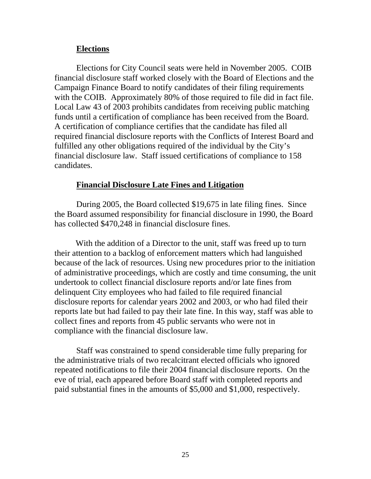### **Elections**

Elections for City Council seats were held in November 2005. COIB financial disclosure staff worked closely with the Board of Elections and the Campaign Finance Board to notify candidates of their filing requirements with the COIB. Approximately 80% of those required to file did in fact file. Local Law 43 of 2003 prohibits candidates from receiving public matching funds until a certification of compliance has been received from the Board. A certification of compliance certifies that the candidate has filed all required financial disclosure reports with the Conflicts of Interest Board and fulfilled any other obligations required of the individual by the City's financial disclosure law. Staff issued certifications of compliance to 158 candidates.

# **Financial Disclosure Late Fines and Litigation**

During 2005, the Board collected \$19,675 in late filing fines. Since the Board assumed responsibility for financial disclosure in 1990, the Board has collected \$470,248 in financial disclosure fines.

 With the addition of a Director to the unit, staff was freed up to turn their attention to a backlog of enforcement matters which had languished because of the lack of resources. Using new procedures prior to the initiation of administrative proceedings, which are costly and time consuming, the unit undertook to collect financial disclosure reports and/or late fines from delinquent City employees who had failed to file required financial disclosure reports for calendar years 2002 and 2003, or who had filed their reports late but had failed to pay their late fine. In this way, staff was able to collect fines and reports from 45 public servants who were not in compliance with the financial disclosure law.

Staff was constrained to spend considerable time fully preparing for the administrative trials of two recalcitrant elected officials who ignored repeated notifications to file their 2004 financial disclosure reports. On the eve of trial, each appeared before Board staff with completed reports and paid substantial fines in the amounts of \$5,000 and \$1,000, respectively.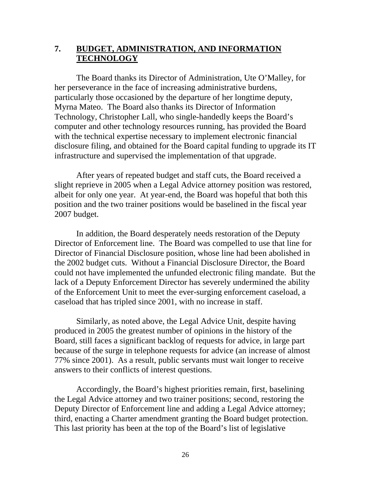# **7. BUDGET, ADMINISTRATION, AND INFORMATION TECHNOLOGY**

The Board thanks its Director of Administration, Ute O'Malley, for her perseverance in the face of increasing administrative burdens, particularly those occasioned by the departure of her longtime deputy, Myrna Mateo. The Board also thanks its Director of Information Technology, Christopher Lall, who single-handedly keeps the Board's computer and other technology resources running, has provided the Board with the technical expertise necessary to implement electronic financial disclosure filing, and obtained for the Board capital funding to upgrade its IT infrastructure and supervised the implementation of that upgrade.

After years of repeated budget and staff cuts, the Board received a slight reprieve in 2005 when a Legal Advice attorney position was restored, albeit for only one year. At year-end, the Board was hopeful that both this position and the two trainer positions would be baselined in the fiscal year 2007 budget.

In addition, the Board desperately needs restoration of the Deputy Director of Enforcement line. The Board was compelled to use that line for Director of Financial Disclosure position, whose line had been abolished in the 2002 budget cuts. Without a Financial Disclosure Director, the Board could not have implemented the unfunded electronic filing mandate. But the lack of a Deputy Enforcement Director has severely undermined the ability of the Enforcement Unit to meet the ever-surging enforcement caseload, a caseload that has tripled since 2001, with no increase in staff.

Similarly, as noted above, the Legal Advice Unit, despite having produced in 2005 the greatest number of opinions in the history of the Board, still faces a significant backlog of requests for advice, in large part because of the surge in telephone requests for advice (an increase of almost 77% since 2001). As a result, public servants must wait longer to receive answers to their conflicts of interest questions.

Accordingly, the Board's highest priorities remain, first, baselining the Legal Advice attorney and two trainer positions; second, restoring the Deputy Director of Enforcement line and adding a Legal Advice attorney; third, enacting a Charter amendment granting the Board budget protection. This last priority has been at the top of the Board's list of legislative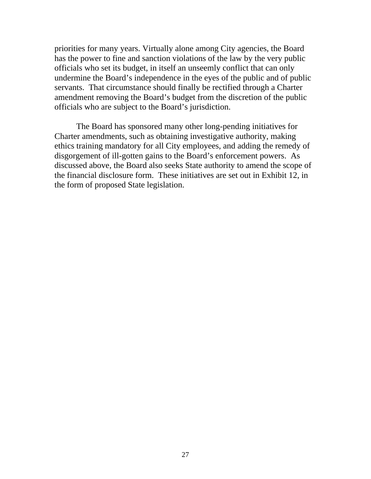priorities for many years. Virtually alone among City agencies, the Board has the power to fine and sanction violations of the law by the very public officials who set its budget, in itself an unseemly conflict that can only undermine the Board's independence in the eyes of the public and of public servants. That circumstance should finally be rectified through a Charter amendment removing the Board's budget from the discretion of the public officials who are subject to the Board's jurisdiction.

The Board has sponsored many other long-pending initiatives for Charter amendments, such as obtaining investigative authority, making ethics training mandatory for all City employees, and adding the remedy of disgorgement of ill-gotten gains to the Board's enforcement powers. As discussed above, the Board also seeks State authority to amend the scope of the financial disclosure form. These initiatives are set out in Exhibit 12, in the form of proposed State legislation.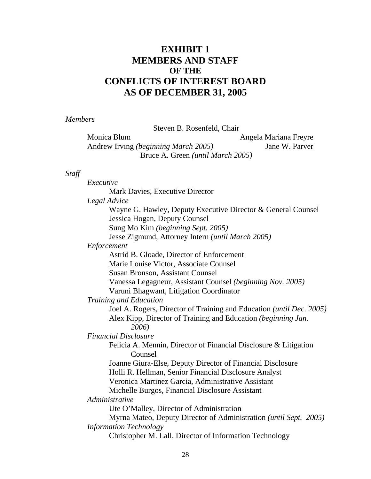# **EXHIBIT 1 MEMBERS AND STAFF OF THE CONFLICTS OF INTEREST BOARD AS OF DECEMBER 31, 2005**

*Members*

Steven B. Rosenfeld, Chair

Monica Blum Angela Mariana Freyre Andrew Irving *(beginning March 2005)* Jane W. Parver Bruce A. Green *(until March 2005)* 

#### *Staff*

*Executive* Mark Davies, Executive Director  *Legal Advice*  Wayne G. Hawley, Deputy Executive Director & General Counsel Jessica Hogan, Deputy Counsel Sung Mo Kim *(beginning Sept. 2005)*  Jesse Zigmund, Attorney Intern *(until March 2005) Enforcement* Astrid B. Gloade, Director of Enforcement Marie Louise Victor, Associate Counsel Susan Bronson, Assistant Counsel Vanessa Legagneur, Assistant Counsel *(beginning Nov. 2005)*  Varuni Bhagwant, Litigation Coordinator *Training and Education* Joel A. Rogers, Director of Training and Education *(until Dec. 2005)*  Alex Kipp, Director of Training and Education *(beginning Jan. 2006) Financial Disclosure* Felicia A. Mennin, Director of Financial Disclosure & Litigation Counsel Joanne Giura-Else, Deputy Director of Financial Disclosure Holli R. Hellman, Senior Financial Disclosure Analyst Veronica Martinez Garcia, Administrative Assistant Michelle Burgos, Financial Disclosure Assistant *Administrative* Ute O'Malley, Director of Administration Myrna Mateo, Deputy Director of Administration *(until Sept. 2005) Information Technology* Christopher M. Lall, Director of Information Technology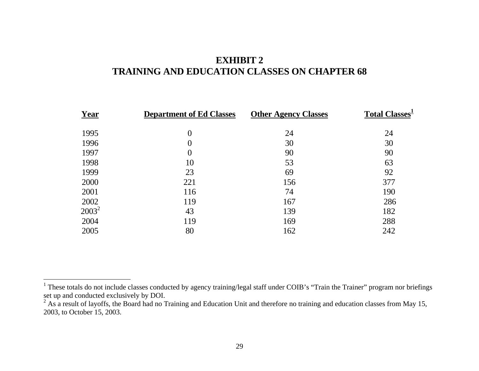# **EXHIBIT 2 TRAINING AND EDUCATION CLASSES ON CHAPTER 68**

| Year     | <b>Department of Ed Classes</b> | <b>Other Agency Classes</b> | <b>Total Classes</b> <sup>1</sup> |
|----------|---------------------------------|-----------------------------|-----------------------------------|
| 1995     | $\boldsymbol{0}$                | 24                          | 24                                |
| 1996     | $\boldsymbol{0}$                | 30                          | 30                                |
| 1997     | $\boldsymbol{0}$                | 90                          | 90                                |
| 1998     | 10                              | 53                          | 63                                |
| 1999     | 23                              | 69                          | 92                                |
| 2000     | 221                             | 156                         | 377                               |
| 2001     | 116                             | 74                          | 190                               |
| 2002     | 119                             | 167                         | 286                               |
| $2003^2$ | 43                              | 139                         | 182                               |
| 2004     | 119                             | 169                         | 288                               |
| 2005     | 80                              | 162                         | 242                               |

<sup>&</sup>lt;sup>1</sup> These totals do not include classes conducted by agency training/legal staff under COIB's "Train the Trainer" program nor briefings set up and conducted exclusively by DOI.

 $2^2$  As a result of layoffs, the Board had no Training and Education Unit and therefore no training and education classes from May 15, 2003, to October 15, 2003.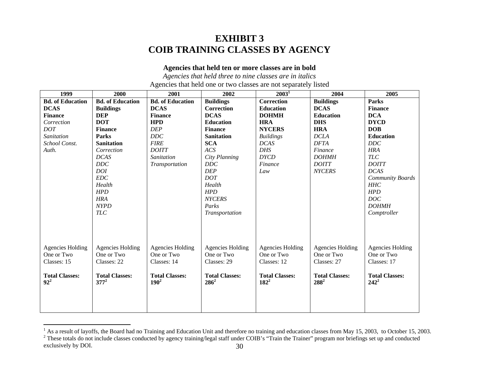# **EXHIBIT 3 COIB TRAINING CLASSES BY AGENCY**

#### **Agencies that held ten or more classes are in bold**

*Agencies that held three to nine classes are in italics*  Agencies that held one or two classes are not separately listed

| 1999                            | 2000                             |                                  | 2002                             | $2003^1$                         | 2004                             | 2005                             |
|---------------------------------|----------------------------------|----------------------------------|----------------------------------|----------------------------------|----------------------------------|----------------------------------|
| <b>Bd.</b> of Education         | <b>Bd.</b> of Education          | <b>Bd.</b> of Education          | <b>Buildings</b>                 | Correction                       | <b>Buildings</b>                 | <b>Parks</b>                     |
| <b>DCAS</b>                     | <b>Buildings</b>                 | <b>DCAS</b>                      | Correction                       | <b>Education</b>                 | <b>DCAS</b>                      | <b>Finance</b>                   |
| <b>Finance</b>                  | <b>DEP</b>                       | <b>Finance</b>                   | <b>DCAS</b>                      | <b>DOHMH</b>                     | <b>Education</b>                 | <b>DCA</b>                       |
| Correction                      | <b>DOT</b>                       | <b>HPD</b>                       | <b>Education</b>                 | <b>HRA</b>                       | <b>DHS</b>                       | <b>DYCD</b>                      |
| <b>DOT</b>                      | <b>Finance</b>                   | <b>DEP</b>                       | <b>Finance</b>                   | <b>NYCERS</b>                    | <b>HRA</b>                       | <b>DOB</b>                       |
| Sanitation                      | Parks                            | <b>DDC</b>                       | <b>Sanitation</b>                | <b>Buildings</b>                 | <b>DCLA</b>                      | <b>Education</b>                 |
| School Const.                   | <b>Sanitation</b>                | <b>FIRE</b>                      | <b>SCA</b>                       | <b>DCAS</b>                      | <b>DFTA</b>                      | DDC                              |
| Auth.                           | Correction                       | <b>DOITT</b>                     | ACS                              | <b>DHS</b>                       | <b>Finance</b>                   | <b>HRA</b>                       |
|                                 | <b>DCAS</b>                      | Sanitation                       | City Planning                    | <b>DYCD</b>                      | <b>DOHMH</b>                     | <b>TLC</b>                       |
|                                 | DDC                              | Transportation                   | DDC                              | Finance                          | <b>DOITT</b>                     | <b>DOITT</b>                     |
|                                 | <b>DOI</b>                       |                                  | <b>DEP</b>                       | Law                              | <b>NYCERS</b>                    | <b>DCAS</b>                      |
|                                 | EDC                              |                                  | <b>DOT</b>                       |                                  |                                  | Community Boards                 |
|                                 | Health                           |                                  | Health                           |                                  |                                  | HHC                              |
|                                 | HPD                              |                                  | <b>HPD</b>                       |                                  |                                  | <b>HPD</b>                       |
|                                 | <b>HRA</b>                       |                                  | <b>NYCERS</b>                    |                                  |                                  | DOC                              |
|                                 | <b>NYPD</b>                      |                                  | Parks                            |                                  |                                  | <b>DOHMH</b>                     |
|                                 | $TLC$                            |                                  | Transportation                   |                                  |                                  | Comptroller                      |
|                                 |                                  |                                  |                                  |                                  |                                  |                                  |
|                                 |                                  |                                  |                                  |                                  |                                  |                                  |
| <b>Agencies Holding</b>         | <b>Agencies Holding</b>          | <b>Agencies Holding</b>          | <b>Agencies Holding</b>          | <b>Agencies Holding</b>          | <b>Agencies Holding</b>          | <b>Agencies Holding</b>          |
| One or Two                      | One or Two                       | One or Two                       | One or Two                       | One or Two                       | One or Two                       | One or Two                       |
| Classes: 15                     | Classes: 22                      | Classes: 14                      | Classes: 29                      | Classes: 12                      | Classes: 27                      | Classes: 17                      |
|                                 |                                  |                                  |                                  |                                  |                                  |                                  |
| <b>Total Classes:</b><br>$92^2$ | <b>Total Classes:</b><br>$377^2$ | <b>Total Classes:</b><br>$190^2$ | <b>Total Classes:</b><br>$286^2$ | <b>Total Classes:</b><br>$182^2$ | <b>Total Classes:</b><br>$288^2$ | <b>Total Classes:</b><br>$242^2$ |
|                                 |                                  |                                  |                                  |                                  |                                  |                                  |
|                                 |                                  |                                  |                                  |                                  |                                  |                                  |
|                                 |                                  |                                  |                                  |                                  |                                  |                                  |
|                                 |                                  |                                  |                                  |                                  |                                  |                                  |

<sup>&</sup>lt;sup>1</sup> As a result of layoffs, the Board had no Training and Education Unit and therefore no training and education classes from May 15, 2003, to October 15, 2003.<br><sup>2</sup> These totals do not include classes conducted by agency exclusively by DOI. 2008. The set of the set of the set of the set of the set of the set of the set of the set of the set of the set of the set of the set of the set of the set of the set of the set of the set of the set o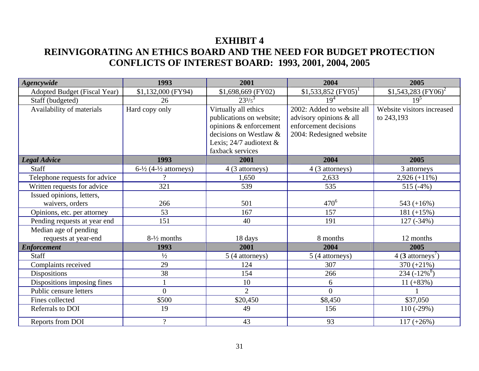# **EXHIBIT 4 REINVIGORATING AN ETHICS BOARD AND THE NEED FOR BUDGET PROTECTION CONFLICTS OF INTEREST BOARD: 1993, 2001, 2004, 2005**

| <b>Agencywide</b>             | 1993                                        | 2001                      | 2004                       | 2005                            |
|-------------------------------|---------------------------------------------|---------------------------|----------------------------|---------------------------------|
| Adopted Budget (Fiscal Year)  | \$1,132,000 (FY94)                          | \$1,698,669 (FY02)        | \$1,533,852 $(FY05)^1$     | \$1,543,283 $(FY06)^2$          |
| Staff (budgeted)              | 26                                          | $23^{3/5}$                | $19^{4}$                   | $19^{5}$                        |
| Availability of materials     | Hard copy only                              | Virtually all ethics      | 2002: Added to website all | Website visitors increased      |
|                               |                                             | publications on website;  | advisory opinions & all    | to 243,193                      |
|                               |                                             | opinions & enforcement    | enforcement decisions      |                                 |
|                               |                                             | decisions on Westlaw &    | 2004: Redesigned website   |                                 |
|                               |                                             | Lexis; $24/7$ audiotext & |                            |                                 |
|                               |                                             | faxback services          |                            |                                 |
| <b>Legal Advice</b>           | 1993                                        | 2001                      | 2004                       | 2005                            |
| <b>Staff</b>                  | $6\frac{1}{2}$ (4- $\frac{1}{2}$ attorneys) | 4 (3 attorneys)           | 4 (3 attorneys)            | 3 attorneys                     |
| Telephone requests for advice | $\Omega$                                    | 1,650                     | 2,633                      | $2,926 (+11\%)$                 |
| Written requests for advice   | 321                                         | 539                       | 535                        | $515(-4%)$                      |
| Issued opinions, letters,     |                                             |                           |                            |                                 |
| waivers, orders               | 266                                         | 501                       | $470^{6}$                  | 543 $(+16%)$                    |
| Opinions, etc. per attorney   | 53                                          | 167                       | 157                        | 181 $(+15%)$                    |
| Pending requests at year end  | 151                                         | 40                        | 191                        | 127 (-34%)                      |
| Median age of pending         |                                             |                           |                            |                                 |
| requests at year-end          | $8-1/2$ months                              | 18 days                   | 8 months                   | 12 months                       |
| <b>Enforcement</b>            | 1993                                        | 2001                      | 2004                       | 2005                            |
| <b>Staff</b>                  | $\frac{1}{2}$                               | 5 (4 attorneys)           | 5 (4 attorneys)            | $4$ (3 attorneys <sup>'</sup> ) |
| Complaints received           | 29                                          | 124                       | 307                        | $370 (+21%)$                    |
| <b>Dispositions</b>           | 38                                          | 154                       | 266                        | $234 (-12\% ^8)$                |
| Dispositions imposing fines   |                                             | 10                        | 6                          | $11 (+83%)$                     |
| Public censure letters        | $\overline{0}$                              | $\overline{2}$            | $\Omega$                   |                                 |
| Fines collected               | \$500                                       | \$20,450                  | \$8,450                    | \$37,050                        |
| Referrals to DOI              | 19                                          | 49                        | 156                        | $110(-29%)$                     |
| Reports from DOI              | $\gamma$                                    | 43                        | 93                         | $117 (+26%)$                    |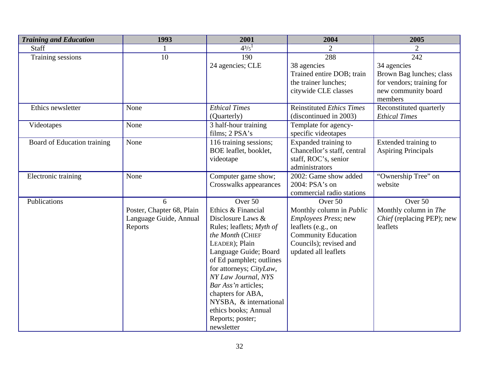| <b>Training and Education</b> | 1993                      | 2001                           | 2004                            | 2005                       |
|-------------------------------|---------------------------|--------------------------------|---------------------------------|----------------------------|
| Staff                         |                           | $4^{3}/5^{1}$                  | 2                               | $\overline{2}$             |
| Training sessions             | 10                        | 190                            | 288                             | 242                        |
|                               |                           | 24 agencies; CLE               | 38 agencies                     | 34 agencies                |
|                               |                           |                                | Trained entire DOB; train       | Brown Bag lunches; class   |
|                               |                           |                                | the trainer lunches;            | for vendors; training for  |
|                               |                           |                                | citywide CLE classes            | new community board        |
|                               |                           |                                |                                 | members                    |
| Ethics newsletter             | None                      | <b>Ethical Times</b>           | Reinstituted Ethics Times       | Reconstituted quarterly    |
|                               |                           | (Quarterly)                    | (discontinued in 2003)          | <b>Ethical Times</b>       |
| Videotapes                    | None                      | 3 half-hour training           | Template for agency-            |                            |
|                               |                           | films; 2 PSA's                 | specific videotapes             |                            |
| Board of Education training   | None                      | 116 training sessions;         | Expanded training to            | Extended training to       |
|                               |                           | BOE leaflet, booklet,          | Chancellor's staff, central     | <b>Aspiring Principals</b> |
|                               |                           | videotape                      | staff, ROC's, senior            |                            |
|                               |                           |                                | administrators                  |                            |
| Electronic training           | None                      | Computer game show;            | 2002: Game show added           | "Ownership Tree" on        |
|                               |                           | Crosswalks appearances         | 2004: PSA's on                  | website                    |
|                               |                           |                                | commercial radio stations       |                            |
| Publications                  | 6                         | Over 50                        | Over 50                         | Over 50                    |
|                               | Poster, Chapter 68, Plain | Ethics & Financial             | Monthly column in <i>Public</i> | Monthly column in The      |
|                               | Language Guide, Annual    | Disclosure Laws &              | <i>Employees Press</i> ; new    | Chief (replacing PEP); new |
|                               | Reports                   | Rules; leaflets; Myth of       | leaflets (e.g., on              | leaflets                   |
|                               |                           | the Month (CHIEF               | <b>Community Education</b>      |                            |
|                               |                           | LEADER); Plain                 | Councils); revised and          |                            |
|                               |                           | Language Guide; Board          | updated all leaflets            |                            |
|                               |                           | of Ed pamphlet; outlines       |                                 |                            |
|                               |                           | for attorneys; CityLaw,        |                                 |                            |
|                               |                           | NY Law Journal, NYS            |                                 |                            |
|                               |                           | Bar Ass'n articles;            |                                 |                            |
|                               |                           | chapters for ABA,              |                                 |                            |
|                               |                           | NYSBA, & international         |                                 |                            |
|                               |                           | ethics books; Annual           |                                 |                            |
|                               |                           | Reports; poster;<br>newsletter |                                 |                            |
|                               |                           |                                |                                 |                            |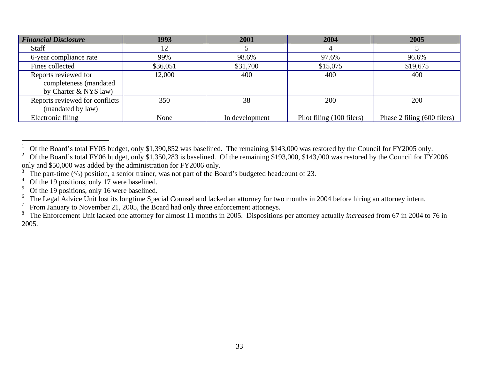| <b>Financial Disclosure</b>    | 1993     | 2001           | 2004                      | 2005                        |
|--------------------------------|----------|----------------|---------------------------|-----------------------------|
| <b>Staff</b>                   | 12       |                |                           |                             |
| 6-year compliance rate         | 99%      | 98.6%          | 97.6%                     | 96.6%                       |
| Fines collected                | \$36,051 | \$31,700       | \$15,075                  | \$19,675                    |
| Reports reviewed for           | 12,000   | 400            | 400                       | 400                         |
| completeness (mandated         |          |                |                           |                             |
| by Charter & NYS law)          |          |                |                           |                             |
| Reports reviewed for conflicts | 350      | 38             | 200                       | 200                         |
| (mandated by law)              |          |                |                           |                             |
| Electronic filing              | None     | In development | Pilot filing (100 filers) | Phase 2 filing (600 filers) |

 $\overline{a}$ 

6 The Legal Advice Unit lost its longtime Special Counsel and lacked an attorney for two months in 2004 before hiring an attorney intern.

7 From January to November 21, 2005, the Board had only three enforcement attorneys.

<sup>1</sup> Of the Board's total FY05 budget, only \$1,390,852 was baselined. The remaining \$143,000 was restored by the Council for FY2005 only.

<sup>&</sup>lt;sup>2</sup> Of the Board's total FY06 budget, only \$1,350,283 is baselined. Of the remaining \$193,000, \$143,000 was restored by the Council for FY2006 only and \$50,000 was added by the administration for FY2006 only.

<sup>3</sup> The part-time  $(3/5)$  position, a senior trainer, was not part of the Board's budgeted headcount of 23.

<sup>4</sup> Of the 19 positions, only 17 were baselined.

<sup>5</sup> Of the 19 positions, only 16 were baselined.

<sup>8</sup> The Enforcement Unit lacked one attorney for almost 11 months in 2005. Dispositions per attorney actually *increased* from 67 in 2004 to 76 in 2005.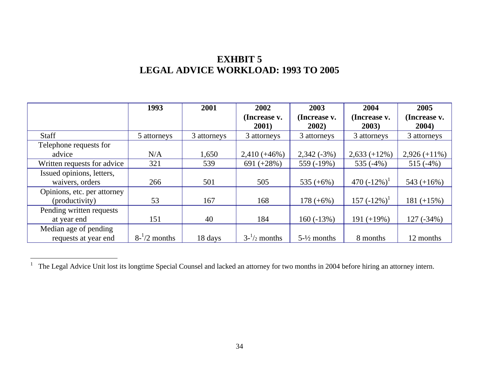# **EXHBIT 5 LEGAL ADVICE WORKLOAD: 1993 TO 2005**

|                             | 1993              | 2001        | 2002                  | 2003                   | 2004                  | 2005                  |
|-----------------------------|-------------------|-------------|-----------------------|------------------------|-----------------------|-----------------------|
|                             |                   |             | (Increase v.<br>2001) | (Increase v.<br>2002)  | (Increase v.<br>2003) | (Increase v.<br>2004) |
| <b>Staff</b>                | 5 attorneys       | 3 attorneys | 3 attorneys           | 3 attorneys            | 3 attorneys           | 3 attorneys           |
|                             |                   |             |                       |                        |                       |                       |
| Telephone requests for      |                   |             |                       |                        |                       |                       |
| advice                      | N/A               | 1,650       | $2,410 (+46%)$        | $2,342(-3%)$           | $2,633 (+12\%)$       | $2,926 (+11\%)$       |
| Written requests for advice | 321               | 539         | 691 $(+28%)$          | 559 (-19%)             | 535 $(-4%)$           | $515(-4%)$            |
| Issued opinions, letters,   |                   |             |                       |                        |                       |                       |
| waivers, orders             | 266               | 501         | 505                   | 535 $(+6%)$            | 470 $(-12\%)^1$       | 543 $(+16%)$          |
| Opinions, etc. per attorney |                   |             |                       |                        |                       |                       |
| (productivity)              | 53                | 167         | 168                   | $178 (+6\%)$           | $157 (-12\%)$         | $181 (+15%)$          |
| Pending written requests    |                   |             |                       |                        |                       |                       |
| at year end                 | 151               | 40          | 184                   | $160(-13%)$            | $191 (+19\%)$         | 127 (-34%)            |
| Median age of pending       |                   |             |                       |                        |                       |                       |
| requests at year end        | $8^{-1}/2$ months | 18 days     | $3-1/2$ months        | $5-\frac{1}{2}$ months | 8 months              | 12 months             |

The Legal Advice Unit lost its longtime Special Counsel and lacked an attorney for two months in 2004 before hiring an attorney intern.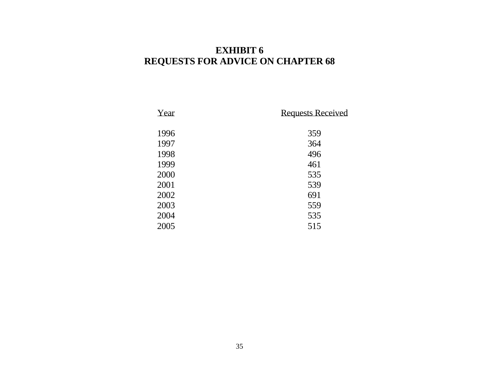# **EXHIBIT 6 REQUESTS FOR ADVICE ON CHAPTER 68**

| Year | <b>Requests Received</b> |
|------|--------------------------|
| 1996 | 359                      |
| 1997 | 364                      |
| 1998 | 496                      |
| 1999 | 461                      |
| 2000 | 535                      |
| 2001 | 539                      |
| 2002 | 691                      |
| 2003 | 559                      |
| 2004 | 535                      |
| 2005 | 515                      |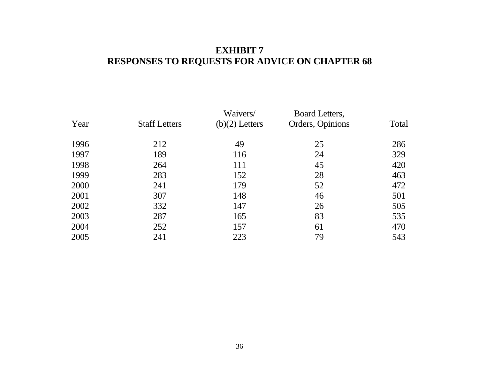# **EXHIBIT 7 RESPONSES TO REQUESTS FOR ADVICE ON CHAPTER 68**

| Year | <b>Staff Letters</b> | Waivers/<br>$(b)(2)$ Letters | Board Letters,<br>Orders, Opinions | Total |
|------|----------------------|------------------------------|------------------------------------|-------|
| 1996 | 212                  | 49                           | 25                                 | 286   |
| 1997 | 189                  | 116                          | 24                                 | 329   |
| 1998 | 264                  | 111                          | 45                                 | 420   |
| 1999 | 283                  | 152                          | 28                                 | 463   |
| 2000 | 241                  | 179                          | 52                                 | 472   |
| 2001 | 307                  | 148                          | 46                                 | 501   |
| 2002 | 332                  | 147                          | 26                                 | 505   |
| 2003 | 287                  | 165                          | 83                                 | 535   |
| 2004 | 252                  | 157                          | 61                                 | 470   |
| 2005 | 241                  | 223                          | 79                                 | 543   |
|      |                      |                              |                                    |       |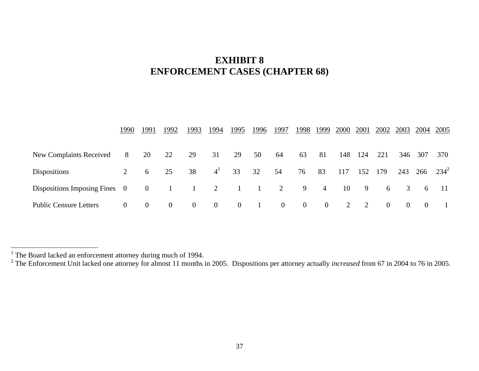# **EXHIBIT 8 ENFORCEMENT CASES (CHAPTER 68)**

|                                | 1990           | 1991           | 1992           | 1993           | 1994           | 1995           | 1996            | 1997           |                |                | 1998 1999 2000 |     | 2001 2002 2003 2004 2005 |                |                 |                |
|--------------------------------|----------------|----------------|----------------|----------------|----------------|----------------|-----------------|----------------|----------------|----------------|----------------|-----|--------------------------|----------------|-----------------|----------------|
| <b>New Complaints Received</b> | 8              | 20             | 22             | 29             | 31             | 29             | 50              | 64             | 63             | 81             | 148            | 124 | 221                      |                | 346 307         | 370            |
| <b>Dispositions</b>            | 2              | 6              | 25             | 38             | 4 <sup>1</sup> | 33             | 32              | 54             | 76             | 83             | 117            | 152 | 179                      |                | 243 266         | $234^2$        |
| Dispositions Imposing Fines 0  |                | $\overline{0}$ | $\sim$ 1       | $\sim$ 1       | $\overline{2}$ | $\sim$ 1       | $\sim$ 1 $\sim$ | 2              | 9              | $\overline{4}$ | 10             | 9   | 6                        | $\overline{3}$ | $6\overline{6}$ | - 11           |
| <b>Public Censure Letters</b>  | $\overline{0}$ | $\overline{0}$ | $\overline{0}$ | $\overline{0}$ | $\overline{0}$ | $\overline{0}$ | $\sim$ 1        | $\overline{0}$ | $\overline{0}$ | $\overline{0}$ | 2              | 2   | $\overline{0}$           | $\overline{0}$ | $\overline{0}$  | $\blacksquare$ |

<sup>&</sup>lt;sup>1</sup> The Board lacked an enforcement attorney during much of 1994.<br><sup>2</sup> The Enforcement Unit lacked one attorney for almost 11 months in 2005. Dispositions per attorney actually *increased* from 67 in 2004 to 76 in 2005.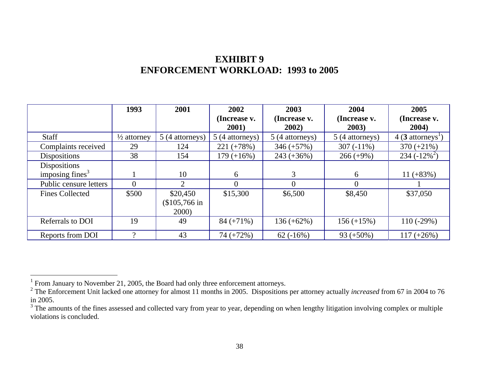# **EXHIBIT 9 ENFORCEMENT WORKLOAD: 1993 to 2005**

|                        | 1993                   | 2001            | 2002                  | 2003                  | 2004                  | 2005                             |
|------------------------|------------------------|-----------------|-----------------------|-----------------------|-----------------------|----------------------------------|
|                        |                        |                 | (Increase v.<br>2001) | (Increase v.<br>2002) | (Increase v.<br>2003) | (Increase v.<br>2004)            |
| <b>Staff</b>           | $\frac{1}{2}$ attorney | 5 (4 attorneys) | 5 (4 attorneys)       | 5 (4 attorneys)       | 5 (4 attorneys)       | $4(3 \text{ attempts}^{\prime})$ |
| Complaints received    | 29                     | 124             | $221 (+78%)$          | $346 (+57%)$          | $307(-11\%)$          | $370 (+21\%)$                    |
| <b>Dispositions</b>    | 38                     | 154             | $179 (+16\%)$         | $243 (+36\%)$         | $266 (+9%)$           | $234(-12\%)$                     |
| Dispositions           |                        |                 |                       |                       |                       |                                  |
| imposing fines $3$     |                        | 10              | 6                     | 3                     | 6                     | $11 (+83%)$                      |
| Public censure letters |                        | ◠               | $\Omega$              |                       | $\Omega$              |                                  |
| <b>Fines Collected</b> | \$500                  | \$20,450        | \$15,300              | \$6,500               | \$8,450               | \$37,050                         |
|                        |                        | $\$105,766$ in  |                       |                       |                       |                                  |
|                        |                        | 2000)           |                       |                       |                       |                                  |
| Referrals to DOI       | 19                     | 49              | $84 (+71\%)$          | $136 (+62\%)$         | $156 (+15%)$          | $110(-29%)$                      |
| Reports from DOI       | റ                      | 43              | $74 (+72%)$           | $62(-16%)$            | $93 (+50\%)$          | $117 (+26%)$                     |

The Samuary to November 21, 2005, the Board had only three enforcement attorneys.<br><sup>1</sup> From January to November 21, 2005, the Board had only three enforcement attorneys.<br><sup>2</sup> The Enforcement Unit lacked one attorney for almo in 2005.

 $3$  The amounts of the fines assessed and collected vary from year to year, depending on when lengthy litigation involving complex or multiple violations is concluded.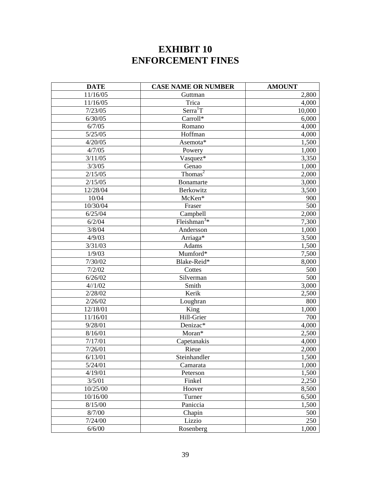# **EXHIBIT 10 ENFORCEMENT FINES**

| <b>DATE</b> | <b>CASE NAME OR NUMBER</b> | <b>AMOUNT</b> |
|-------------|----------------------------|---------------|
| 11/16/05    | Guttman                    | 2,800         |
| 11/16/05    | Trica                      | 4,000         |
| 7/23/05     | Serra <sup>1</sup> T       | 10,000        |
| 6/30/05     | Carroll*                   | 6,000         |
| 6/7/05      | Romano                     | 4,000         |
| 5/25/05     | Hoffman                    | 4,000         |
| 4/20/05     | Asemota*                   | 1,500         |
| 4/7/05      | Powery                     | 1,000         |
| 3/11/05     | Vasquez*                   | 3,350         |
| 3/3/05      | Genao                      | 1,000         |
| 2/15/05     | Thomas <sup>2</sup>        | 2,000         |
| 2/15/05     | Bonamarte                  | 3,000         |
| 12/28/04    | Berkowitz                  | 3,500         |
| 10/04       | McKen*                     | 900           |
| 10/30/04    | Fraser                     | 500           |
| 6/25/04     | Campbell                   | 2,000         |
| 6/2/04      | Fleishman <sup>3*</sup>    | 7,300         |
| 3/8/04      | Andersson                  | 1,000         |
| 4/9/03      | Arriaga*                   | 3,500         |
| 3/31/03     | Adams                      | 1,500         |
| 1/9/03      | Mumford*                   | 7,500         |
| 7/30/02     | Blake-Reid*                | 8,000         |
| 7/2/02      | Cottes                     | 500           |
| 6/26/02     | Silverman                  | 500           |
| 4//1/02     | Smith                      | 3,000         |
| 2/28/02     | Kerik                      | 2,500         |
| 2/26/02     | Loughran                   | 800           |
| 12/18/01    | King                       | 1,000         |
| 11/16/01    | Hill-Grier                 | 700           |
| 9/28/01     | Denizac*                   | 4,000         |
| 8/16/01     | Moran*                     | 2,500         |
| 7/17/01     | Capetanakis                | 4,000         |
| 7/26/01     | Rieue                      | 2,000         |
| 6/13/01     | Steinhandler               | 1,500         |
| 5/24/01     | Camarata                   | 1,000         |
| 4/19/01     | Peterson                   | 1,500         |
| 3/5/01      | Finkel                     | 2,250         |
| 10/25/00    | Hoover                     | 8,500         |
| 10/16/00    | Turner                     | 6,500         |
| 8/15/00     | Paniccia                   | 1,500         |
| 8/7/00      | Chapin                     | 500           |
| 7/24/00     | Lizzio                     | 250           |
| 6/6/00      | Rosenberg                  | 1,000         |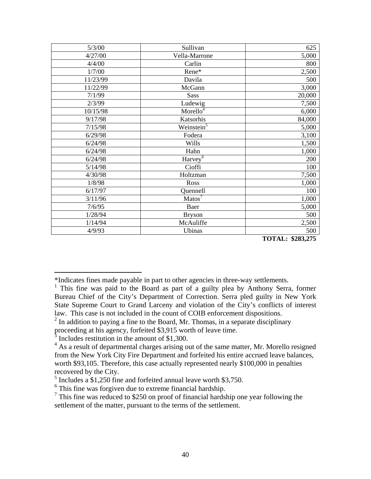| 5/3/00   | Sullivan                         | 625    |
|----------|----------------------------------|--------|
| 4/27/00  | Vella-Marrone                    | 5,000  |
| 4/4/00   | Carlin                           | 800    |
| 1/7/00   | Rene*                            | 2,500  |
| 11/23/99 | Davila                           | 500    |
| 11/22/99 | McGann                           | 3,000  |
| 7/1/99   | <b>Sass</b>                      | 20,000 |
| 2/3/99   | Ludewig                          | 7,500  |
| 10/15/98 | Morello <sup>4</sup>             | 6,000  |
| 9/17/98  | Katsorhis                        | 84,000 |
| 7/15/98  | Weinstein $\overline{5}$         | 5,000  |
| 6/29/98  | Fodera                           | 3,100  |
| 6/24/98  | Wills                            | 1,500  |
| 6/24/98  | Hahn                             | 1,000  |
| 6/24/98  | Harvey <sup><math>6</math></sup> | 200    |
| 5/14/98  | Cioffi                           | 100    |
| 4/30/98  | Holtzman                         | 7,500  |
| 1/8/98   | Ross                             | 1,000  |
| 6/17/97  | Quennell                         | 100    |
| 3/11/96  | Matos <sup>7</sup>               | 1,000  |
| 7/6/95   | Baer                             | 5,000  |
| 1/28/94  | <b>Bryson</b>                    | 500    |
| 1/14/94  | McAuliffe                        | 2,500  |
| 4/9/93   | Ubinas                           | 500    |

 **TOTAL: \$283,275** 

<sup>\*</sup>Indicates fines made payable in part to other agencies in three-way settlements.

<sup>&</sup>lt;sup>1</sup> This fine was paid to the Board as part of a guilty plea by Anthony Serra, former Bureau Chief of the City's Department of Correction. Serra pled guilty in New York State Supreme Court to Grand Larceny and violation of the City's conflicts of interest law. This case is not included in the count of COIB enforcement dispositions.

 $2 \text{ In addition to paying a fine to the Board, Mr. Thomas, in a separate disciplinary.}$ 

proceeding at his agency, forfeited \$3,915 worth of leave time.

<sup>3</sup> Includes restitution in the amount of \$1,300.

 $4$  As a result of departmental charges arising out of the same matter, Mr. Morello resigned from the New York City Fire Department and forfeited his entire accrued leave balances, worth \$93,105. Therefore, this case actually represented nearly \$100,000 in penalties recovered by the City.

<sup>5</sup> Includes a \$1,250 fine and forfeited annual leave worth \$3,750.

 $6$  This fine was forgiven due to extreme financial hardship.

<sup>&</sup>lt;sup>7</sup> This fine was reduced to \$250 on proof of financial hardship one year following the settlement of the matter, pursuant to the terms of the settlement.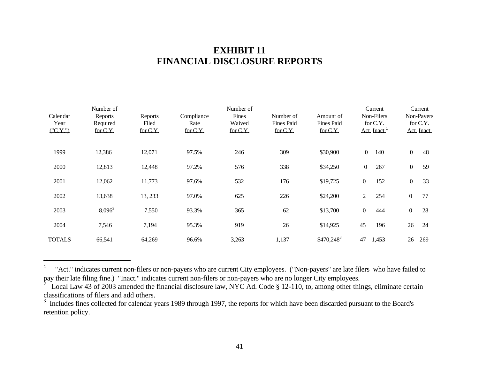# **EXHIBIT 11 FINANCIAL DISCLOSURE REPORTS**

| Calendar<br>Year<br>(TCY.") | Number of<br>Reports<br>Required<br>for C.Y. | Reports<br>Filed<br>for C.Y. | Compliance<br>Rate<br>for C.Y. | Number of<br>Fines<br>Waived<br>for C.Y. | Number of<br><b>Fines Paid</b><br>for C.Y. | Amount of<br><b>Fines Paid</b><br>for C.Y. |                | Current<br>Non-Filers<br>for C.Y.<br>Act. Inact. |                  | Current<br>Non-Payers<br>for C.Y.<br>Act. Inact. |
|-----------------------------|----------------------------------------------|------------------------------|--------------------------------|------------------------------------------|--------------------------------------------|--------------------------------------------|----------------|--------------------------------------------------|------------------|--------------------------------------------------|
| 1999                        | 12,386                                       | 12,071                       | 97.5%                          | 246                                      | 309                                        | \$30,900                                   | $\overline{0}$ | 140                                              | $\mathbf{0}$     | 48                                               |
| 2000                        | 12,813                                       | 12,448                       | 97.2%                          | 576                                      | 338                                        | \$34,250                                   | $\overline{0}$ | 267                                              | $\mathbf{0}$     | 59                                               |
| 2001                        | 12,062                                       | 11,773                       | 97.6%                          | 532                                      | 176                                        | \$19,725                                   | $\overline{0}$ | 152                                              | $\overline{0}$   | 33                                               |
| 2002                        | 13,638                                       | 13, 233                      | 97.0%                          | 625                                      | 226                                        | \$24,200                                   | $\overline{2}$ | 254                                              | $\boldsymbol{0}$ | 77                                               |
| 2003                        | $8,096^2$                                    | 7,550                        | 93.3%                          | 365                                      | 62                                         | \$13,700                                   | $\overline{0}$ | 444                                              | $\boldsymbol{0}$ | 28                                               |
| 2004                        | 7,546                                        | 7,194                        | 95.3%                          | 919                                      | 26                                         | \$14,925                                   | 45             | 196                                              | 26               | 24                                               |
| <b>TOTALS</b>               | 66,541                                       | 64,269                       | 96.6%                          | 3,263                                    | 1,137                                      | $$470,248^3$                               | 47             | 1,453                                            | 26               | 269                                              |

<sup>&</sup>lt;sup>1</sup> "Act." indicates current non-filers or non-payers who are current City employees. ("Non-payers" are late filers who have failed to pay their late filing fine.) "Inact." indicates current non-filers or non-payers who are no longer City employees.<br><sup>2</sup> Legal Law 42 of 2002 amonded the financial disclosure law NVC Ad. Code 8.12, 110, to empne other thirt

Local Law 43 of 2003 amended the financial disclosure law, NYC Ad. Code § 12-110, to, among other things, eliminate certain classifications of filers and add others.

<sup>&</sup>lt;sup>3</sup> Includes fines collected for calendar years 1989 through 1997, the reports for which have been discarded pursuant to the Board's retention policy.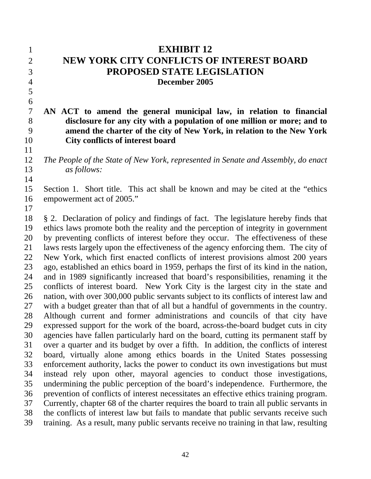| $\mathbf{1}$   | <b>EXHIBIT 12</b>                                                                       |
|----------------|-----------------------------------------------------------------------------------------|
| $\overline{2}$ | <b>NEW YORK CITY CONFLICTS OF INTEREST BOARD</b>                                        |
| 3              | PROPOSED STATE LEGISLATION                                                              |
| $\overline{4}$ | December 2005                                                                           |
| 5              |                                                                                         |
| 6              |                                                                                         |
| $\overline{7}$ | AN ACT to amend the general municipal law, in relation to financial                     |
| 8              | disclosure for any city with a population of one million or more; and to                |
| 9              | amend the charter of the city of New York, in relation to the New York                  |
| 10             | <b>City conflicts of interest board</b>                                                 |
| 11             |                                                                                         |
| 12             | The People of the State of New York, represented in Senate and Assembly, do enact       |
| 13             | <i>as follows:</i>                                                                      |
| 14             |                                                                                         |
| 15             | Section 1. Short title. This act shall be known and may be cited at the "ethics"        |
| 16             | empowerment act of 2005."                                                               |
| 17             |                                                                                         |
| 18             | § 2. Declaration of policy and findings of fact. The legislature hereby finds that      |
| 19             | ethics laws promote both the reality and the perception of integrity in government      |
| 20             | by preventing conflicts of interest before they occur. The effectiveness of these       |
| 21             | laws rests largely upon the effectiveness of the agency enforcing them. The city of     |
| 22             | New York, which first enacted conflicts of interest provisions almost 200 years         |
| 23             | ago, established an ethics board in 1959, perhaps the first of its kind in the nation,  |
| 24             | and in 1989 significantly increased that board's responsibilities, renaming it the      |
| 25             | conflicts of interest board. New York City is the largest city in the state and         |
| 26             | nation, with over 300,000 public servants subject to its conflicts of interest law and  |
| 27             | with a budget greater than that of all but a handful of governments in the country.     |
| 28             | Although current and former administrations and councils of that city have              |
| 29             | expressed support for the work of the board, across-the-board budget cuts in city       |
| 30             | agencies have fallen particularly hard on the board, cutting its permanent staff by     |
| 31             | over a quarter and its budget by over a fifth. In addition, the conflicts of interest   |
| 32             | board, virtually alone among ethics boards in the United States possessing              |
| 33             | enforcement authority, lacks the power to conduct its own investigations but must       |
| 34             | instead rely upon other, mayoral agencies to conduct those investigations,              |
| 35             | undermining the public perception of the board's independence. Furthermore, the         |
| 36             | prevention of conflicts of interest necessitates an effective ethics training program.  |
| 37             | Currently, chapter 68 of the charter requires the board to train all public servants in |
| 38             | the conflicts of interest law but fails to mandate that public servants receive such    |
| 39             | training. As a result, many public servants receive no training in that law, resulting  |
|                |                                                                                         |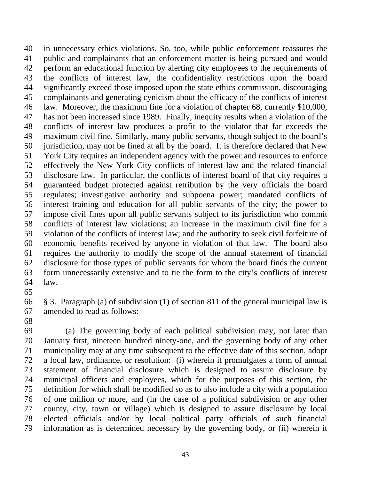40 41 42 43 44 45 46 47 48 49 50 51 52 53 54 55 56 57 58 59 60 61 62 63 64 in unnecessary ethics violations. So, too, while public enforcement reassures the public and complainants that an enforcement matter is being pursued and would perform an educational function by alerting city employees to the requirements of the conflicts of interest law, the confidentiality restrictions upon the board significantly exceed those imposed upon the state ethics commission, discouraging complainants and generating cynicism about the efficacy of the conflicts of interest law. Moreover, the maximum fine for a violation of chapter 68, currently \$10,000, has not been increased since 1989. Finally, inequity results when a violation of the conflicts of interest law produces a profit to the violator that far exceeds the maximum civil fine. Similarly, many public servants, though subject to the board's jurisdiction, may not be fined at all by the board. It is therefore declared that New York City requires an independent agency with the power and resources to enforce effectively the New York City conflicts of interest law and the related financial disclosure law. In particular, the conflicts of interest board of that city requires a guaranteed budget protected against retribution by the very officials the board regulates; investigative authority and subpoena power; mandated conflicts of interest training and education for all public servants of the city; the power to impose civil fines upon all public servants subject to its jurisdiction who commit conflicts of interest law violations; an increase in the maximum civil fine for a violation of the conflicts of interest law; and the authority to seek civil forfeiture of economic benefits received by anyone in violation of that law. The board also requires the authority to modify the scope of the annual statement of financial disclosure for those types of public servants for whom the board finds the current form unnecessarily extensive and to tie the form to the city's conflicts of interest law.

65

66 67 § 3. Paragraph (a) of subdivision (1) of section 811 of the general municipal law is amended to read as follows:

68

69 70 71 72 73 74 75 76 77 78 79 (a) The governing body of each political subdivision may, not later than January first, nineteen hundred ninety-one, and the governing body of any other municipality may at any time subsequent to the effective date of this section, adopt a local law, ordinance, or resolution: (i) wherein it promulgates a form of annual statement of financial disclosure which is designed to assure disclosure by municipal officers and employees, which for the purposes of this section, the definition for which shall be modified so as to also include a city with a population of one million or more, and (in the case of a political subdivision or any other county, city, town or village) which is designed to assure disclosure by local elected officials and/or by local political party officials of such financial information as is determined necessary by the governing body, or (ii) wherein it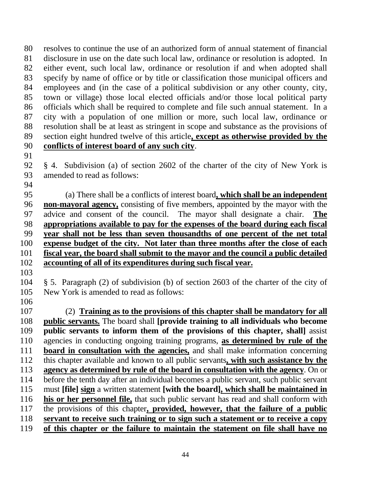resolves to continue the use of an authorized form of annual statement of financial disclosure in use on the date such local law, ordinance or resolution is adopted. In either event, such local law, ordinance or resolution if and when adopted shall specify by name of office or by title or classification those municipal officers and employees and (in the case of a political subdivision or any other county, city, town or village) those local elected officials and/or those local political party officials which shall be required to complete and file such annual statement. In a city with a population of one million or more, such local law, ordinance or resolution shall be at least as stringent in scope and substance as the provisions of 89 section eight hundred twelve of this article, except as otherwise provided by the 80 81 82 83 84 85 86 87 88 90 **conflicts of interest board of any such city**.

91

92 93 § 4. Subdivision (a) of section 2602 of the charter of the city of New York is amended to read as follows:

94

 (a) There shall be a conflicts of interest board**, which shall be an independent non-mayoral agency,** consisting of five members, appointed by the mayor with the 97 advice and consent of the council. The mayor shall designate a chair. The 96 **appropriations available to pay for the expenses of the board during each fiscal year shall not be less than seven thousandths of one percent of the net total expense budget of the city. Not later than three months after the close of each fiscal year, the board shall submit to the mayor and the council a public detailed accounting of all of its expenditures during such fiscal year.**

- 104 105 § 5. Paragraph (2) of subdivision (b) of section 2603 of the charter of the city of New York is amended to read as follows:
- 106

103

107 (2) **Training as to the provisions of this chapter shall be mandatory for all public servants.** The board shall **[provide training to all individuals who become public servants to inform them of the provisions of this chapter, shall]** assist 110 agencies in conducting ongoing training programs, as determined by rule of the 108 109 **board in consultation with the agencies,** and shall make information concerning 112 this chapter available and known to all public servants, with such assistance by the 111 **agency as determined by rule of the board in consultation with the agency**. On or before the tenth day after an individual becomes a public servant, such public servant 115 must [file] sign a written statement [with the board], which shall be maintained in 113 114 **his or her personnel file,** that such public servant has read and shall conform with 117 the provisions of this chapter, **provided, however, that the failure of a public** 116 118 **servant to receive such training or to sign such a statement or to receive a copy** 119 **of this chapter or the failure to maintain the statement on file shall have no**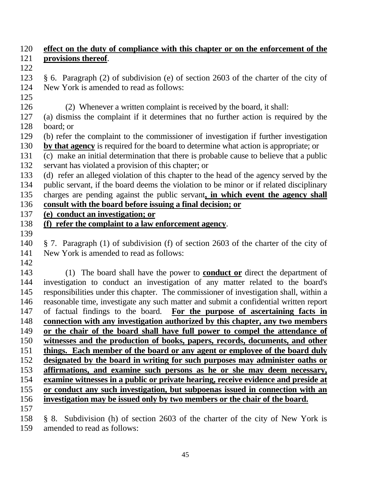| 120 | effect on the duty of compliance with this chapter or on the enforcement of the         |
|-----|-----------------------------------------------------------------------------------------|
| 121 | provisions thereof.                                                                     |
| 122 |                                                                                         |
| 123 | § 6. Paragraph (2) of subdivision (e) of section 2603 of the charter of the city of     |
| 124 | New York is amended to read as follows:                                                 |
| 125 |                                                                                         |
| 126 | (2) Whenever a written complaint is received by the board, it shall:                    |
| 127 | (a) dismiss the complaint if it determines that no further action is required by the    |
| 128 | board; or                                                                               |
| 129 | (b) refer the complaint to the commissioner of investigation if further investigation   |
| 130 | by that agency is required for the board to determine what action is appropriate; or    |
| 131 | (c) make an initial determination that there is probable cause to believe that a public |
| 132 | servant has violated a provision of this chapter; or                                    |
| 133 | (d) refer an alleged violation of this chapter to the head of the agency served by the  |
| 134 | public servant, if the board deems the violation to be minor or if related disciplinary |
| 135 | charges are pending against the public servant, in which event the agency shall         |
| 136 | consult with the board before issuing a final decision; or                              |
| 137 | (e) conduct an investigation; or                                                        |
| 138 | (f) refer the complaint to a law enforcement agency.                                    |
| 139 |                                                                                         |
| 140 | § 7. Paragraph (1) of subdivision (f) of section 2603 of the charter of the city of     |
| 141 | New York is amended to read as follows:                                                 |
| 142 |                                                                                         |
| 143 | (1) The board shall have the power to <b>conduct or</b> direct the department of        |
| 144 | investigation to conduct an investigation of any matter related to the board's          |
| 145 | responsibilities under this chapter. The commissioner of investigation shall, within a  |
| 146 | reasonable time, investigate any such matter and submit a confidential written report   |
| 147 | of factual findings to the board. For the purpose of ascertaining facts in              |
| 148 | <u>connection with any investigation authorized by this chapter, any two members</u>    |
| 149 | or the chair of the board shall have full power to compel the attendance of             |
| 150 | witnesses and the production of books, papers, records, documents, and other            |
| 151 | things. Each member of the board or any agent or employee of the board duly             |
| 152 | designated by the board in writing for such purposes may administer oaths or            |
| 153 | affirmations, and examine such persons as he or she may deem necessary,                 |
| 154 | examine witnesses in a public or private hearing, receive evidence and preside at       |
| 155 | or conduct any such investigation, but subpoenas issued in connection with an           |
| 156 | investigation may be issued only by two members or the chair of the board.              |
| 157 |                                                                                         |
| 158 | § 8. Subdivision (h) of section 2603 of the charter of the city of New York is          |
| 159 | amended to read as follows:                                                             |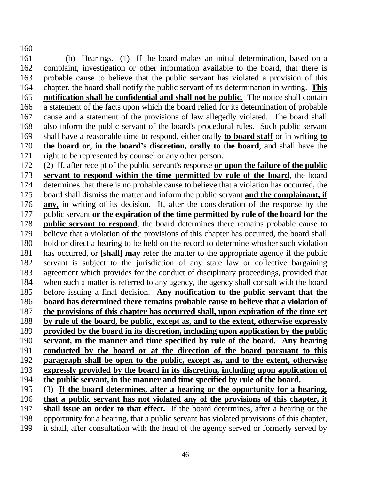161 162 163 (h) Hearings. (1) If the board makes an initial determination, based on a complaint, investigation or other information available to the board, that there is probable cause to believe that the public servant has violated a provision of this 164 chapter, the board shall notify the public servant of its determination in writing. **This notification shall be confidential and shall not be public.** The notice shall contain a statement of the facts upon which the board relied for its determination of probable cause and a statement of the provisions of law allegedly violated. The board shall also inform the public servant of the board's procedural rules. Such public servant 169 shall have a reasonable time to respond, either orally **to board staff** or in writing **to** 165 166 167 168 **the board or, in the board's discretion, orally to the board**, and shall have the right to be represented by counsel or any other person. 170 171

160

172 (2) If, after receipt of the public servant's response **or upon the failure of the public servant to respond within the time permitted by rule of the board**, the board determines that there is no probable cause to believe that a violation has occurred, the 175 board shall dismiss the matter and inform the public servant and the complainant, if 173 174 **any,** in writing of its decision. If, after the consideration of the response by the 177 public servant or the expiration of the time permitted by rule of the board for the 176 **public servant to respond**, the board determines there remains probable cause to believe that a violation of the provisions of this chapter has occurred, the board shall hold or direct a hearing to be held on the record to determine whether such violation has occurred, or **[shall] may** refer the matter to the appropriate agency if the public 178 179 180 servant is subject to the jurisdiction of any state law or collective bargaining agreement which provides for the conduct of disciplinary proceedings, provided that when such a matter is referred to any agency, the agency shall consult with the board 185 before issuing a final decision. Any notification to the public servant that the 181 182 183 184 186 **board has determined there remains probable cause to believe that a violation of**  187 **the provisions of this chapter has occurred shall, upon expiration of the time set**  188 **by rule of the board, be public, except as, and to the extent, otherwise expressly**  189 **provided by the board in its discretion, including upon application by the public**  190 **servant, in the manner and time specified by rule of the board. Any hearing** 191 **conducted by the board or at the direction of the board pursuant to this**  192 **paragraph shall be open to the public, except as, and to the extent, otherwise** 193 **expressly provided by the board in its discretion, including upon application of** 194 **the public servant, in the manner and time specified by rule of the board.** 195 (3) **If the board determines, after a hearing or the opportunity for a hearing,** 196 **that a public servant has not violated any of the provisions of this chapter, it shall issue an order to that effect.** If the board determines, after a hearing or the 197

opportunity for a hearing, that a public servant has violated provisions of this chapter, it shall, after consultation with the head of the agency served or formerly served by 198 199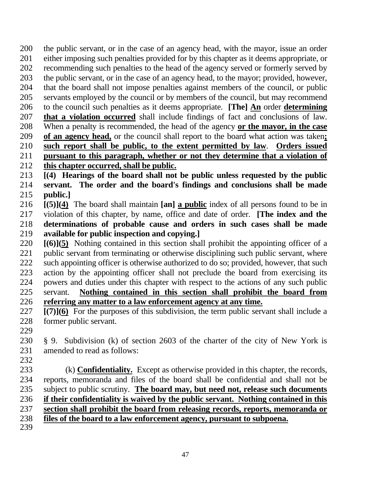the public servant, or in the case of an agency head, with the mayor, issue an order either imposing such penalties provided for by this chapter as it deems appropriate, or recommending such penalties to the head of the agency served or formerly served by the public servant, or in the case of an agency head, to the mayor; provided, however, that the board shall not impose penalties against members of the council, or public servants employed by the council or by members of the council, but may recommend 206 to the council such penalties as it deems appropriate. **[The]** An order **determining** 200 201 202 203 204 205 **that a violation occurred** shall include findings of fact and conclusions of law. When a penalty is recommended, the head of the agency 208 **or the mayor, in the case** 207 209 **of an agency head,** or the council shall report to the board what action was taken**;** 210 **such report shall be public, to the extent permitted by law**. **Orders issued** 211 **pursuant to this paragraph, whether or not they determine that a violation of**  212 **this chapter occurred, shall be public.** 213 **[(4) Hearings of the board shall not be public unless requested by the public** 

214 215 **servant. The order and the board's findings and conclusions shall be made public.]**

**[(5)](4)** The board shall maintain **[an] a public** index of all persons found to be in violation of this chapter, by name, office and date of order. **[The index and the determinations of probable cause and orders in such cases shall be made available for public inspection and copying.]** 216 217 218 219

**[(6)](5)** Nothing contained in this section shall prohibit the appointing officer of a public servant from terminating or otherwise disciplining such public servant, where such appointing officer is otherwise authorized to do so; provided, however, that such action by the appointing officer shall not preclude the board from exercising its powers and duties under this chapter with respect to the actions of any such public servant. 220 221 222 223 224 225 **Nothing contained in this section shall prohibit the board from** 226 **referring any matter to a law enforcement agency at any time.**

**[(7)](6)** For the purposes of this subdivision, the term public servant shall include a former public servant. 227 228

229

230 231 § 9. Subdivision (k) of section 2603 of the charter of the city of New York is amended to read as follows:

232

 (k) **Confidentiality.** Except as otherwise provided in this chapter, the records, reports, memoranda and files of the board shall be confidential and shall not be 235 subject to public scrutiny. The board may, but need not, release such documents 233 234 236 **if their confidentiality is waived by the public servant. Nothing contained in this**  237 **section shall prohibit the board from releasing records, reports, memoranda or**  238 **files of the board to a law enforcement agency, pursuant to subpoena.** 239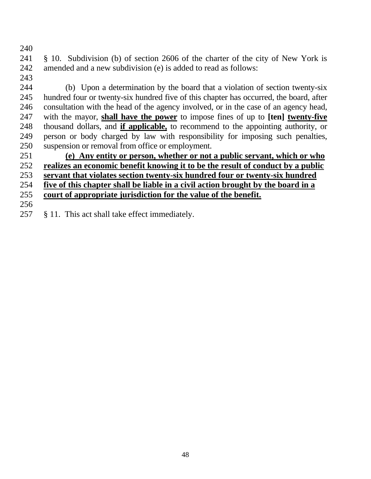§ 10. Subdivision (b) of section 2606 of the charter of the city of New York is amended and a new subdivision (e) is added to read as follows:

 (b) Upon a determination by the board that a violation of section twenty-six hundred four or twenty-six hundred five of this chapter has occurred, the board, after consultation with the head of the agency involved, or in the case of an agency head, with the mayor, **shall have the power** to impose fines of up to **[ten] twenty-five** thousand dollars, and **if applicable,** to recommend to the appointing authority, or person or body charged by law with responsibility for imposing such penalties, suspension or removal from office or employment. 

 **(e) Any entity or person, whether or not a public servant, which or who realizes an economic benefit knowing it to be the result of conduct by a public servant that violates section twenty-six hundred four or twenty-six hundred** 

**five of this chapter shall be liable in a civil action brought by the board in a** 

- **court of appropriate jurisdiction for the value of the benefit.**
- 

257 § 11. This act shall take effect immediately.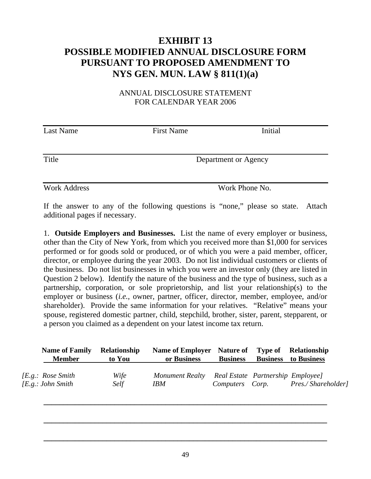# **EXHIBIT 13 POSSIBLE MODIFIED ANNUAL DISCLOSURE FORM PURSUANT TO PROPOSED AMENDMENT TO NYS GEN. MUN. LAW § 811(1)(a)**

### ANNUAL DISCLOSURE STATEMENT FOR CALENDAR YEAR 2006

| <b>Last Name</b> | <b>First Name</b> | Initial              |
|------------------|-------------------|----------------------|
|                  |                   |                      |
| Title            |                   | Department or Agency |
|                  |                   |                      |
|                  |                   |                      |

If the answer to any of the following questions is "none," please so state. Attach additional pages if necessary.

Work Address Work Phone No.

1. **Outside Employers and Businesses.** List the name of every employer or business, other than the City of New York, from which you received more than \$1,000 for services performed or for goods sold or produced, or of which you were a paid member, officer, director, or employee during the year 2003. Do not list individual customers or clients of the business. Do not list businesses in which you were an investor only (they are listed in Question 2 below). Identify the nature of the business and the type of business, such as a partnership, corporation, or sole proprietorship, and list your relationship(s) to the employer or business (*i.e.*, owner, partner, officer, director, member, employee, and/or shareholder). Provide the same information for your relatives. "Relative" means your spouse, registered domestic partner, child, stepchild, brother, sister, parent, stepparent, or a person you claimed as a dependent on your latest income tax return.

| <b>Name of Family</b><br><b>Member</b>          | Relationship<br>to You | <b>Name of Employer Nature of</b><br>or Business | <b>Business</b> |                                   | <b>Type of</b> Relationship<br><b>Business</b> to Business |
|-------------------------------------------------|------------------------|--------------------------------------------------|-----------------|-----------------------------------|------------------------------------------------------------|
| [E.g.: Rose Smith<br><i>[E.g.: John Smith</i> ] | Wife<br>Self           | Monument Realty<br><b>IBM</b>                    | Computers Corp. | Real Estate Partnership Employee] | Pres./Shareholder]                                         |

**\_\_\_\_\_\_\_\_\_\_\_\_\_\_\_\_\_\_\_\_\_\_\_\_\_\_\_\_\_\_\_\_\_\_\_\_\_\_\_\_\_\_\_\_\_\_\_\_\_\_\_\_\_\_\_\_\_\_\_\_\_\_\_\_\_\_\_\_\_\_\_\_** 

**\_\_\_\_\_\_\_\_\_\_\_\_\_\_\_\_\_\_\_\_\_\_\_\_\_\_\_\_\_\_\_\_\_\_\_\_\_\_\_\_\_\_\_\_\_\_\_\_\_\_\_\_\_\_\_\_\_\_\_\_\_\_\_\_\_\_\_\_\_\_\_\_** 

**\_\_\_\_\_\_\_\_\_\_\_\_\_\_\_\_\_\_\_\_\_\_\_\_\_\_\_\_\_\_\_\_\_\_\_\_\_\_\_\_\_\_\_\_\_\_\_\_\_\_\_\_\_\_\_\_\_\_\_\_\_\_\_\_\_\_\_\_\_\_\_\_**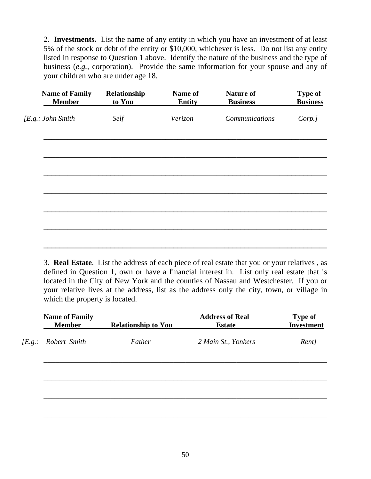2. **Investments.** List the name of any entity in which you have an investment of at least 5% of the stock or debt of the entity or \$10,000, whichever is less. Do not list any entity listed in response to Question 1 above. Identify the nature of the business and the type of business (*e.g.*, corporation). Provide the same information for your spouse and any of your children who are under age 18.

| <b>Name of Family</b><br><b>Member</b> | Relationship<br>to You | Name of<br><b>Entity</b> | <b>Nature of</b><br><b>Business</b> | <b>Type of</b><br><b>Business</b> |
|----------------------------------------|------------------------|--------------------------|-------------------------------------|-----------------------------------|
| [E.g.: John Smith                      | Self                   | Verizon                  | Communications                      | Corp.]                            |
|                                        |                        |                          |                                     |                                   |
|                                        |                        |                          |                                     |                                   |
|                                        |                        |                          |                                     |                                   |
|                                        |                        |                          |                                     |                                   |
|                                        |                        |                          |                                     |                                   |
|                                        |                        |                          |                                     |                                   |

3. **Real Estate**. List the address of each piece of real estate that you or your relatives , as defined in Question 1, own or have a financial interest in. List only real estate that is located in the City of New York and the counties of Nassau and Westchester. If you or your relative lives at the address, list as the address only the city, town, or village in which the property is located.

| <b>Name of Family</b><br><b>Member</b> | <b>Relationship to You</b> | <b>Address of Real</b><br><b>Estate</b> | <b>Type of</b><br><b>Investment</b> |
|----------------------------------------|----------------------------|-----------------------------------------|-------------------------------------|
| [E.g.: Robert Smith                    | Father                     | 2 Main St., Yonkers                     | Rent]                               |
|                                        |                            |                                         |                                     |
|                                        |                            |                                         |                                     |
|                                        |                            |                                         |                                     |
|                                        |                            |                                         |                                     |

\_\_\_\_\_\_\_\_\_\_\_\_\_\_\_\_\_\_\_\_\_\_\_\_\_\_\_\_\_\_\_\_\_\_\_\_\_\_\_\_\_\_\_\_\_\_\_\_\_\_\_\_\_\_\_\_\_\_\_\_\_\_\_\_\_\_\_\_\_\_\_\_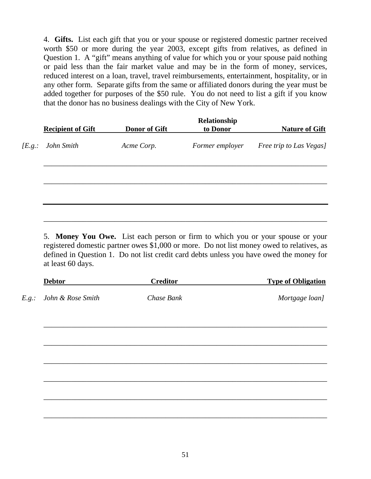4. **Gifts.** List each gift that you or your spouse or registered domestic partner received worth \$50 or more during the year 2003, except gifts from relatives, as defined in Question 1. A "gift" means anything of value for which you or your spouse paid nothing or paid less than the fair market value and may be in the form of money, services, reduced interest on a loan, travel, travel reimbursements, entertainment, hospitality, or in any other form. Separate gifts from the same or affiliated donors during the year must be added together for purposes of the \$50 rule. You do not need to list a gift if you know that the donor has no business dealings with the City of New York.

| <b>Recipient of Gift</b> | <b>Donor of Gift</b> | Relationship<br>to Donor | <b>Nature of Gift</b>   |
|--------------------------|----------------------|--------------------------|-------------------------|
| [E.g.: John Smith        | Acme Corp.           | Former employer          | Free trip to Las Vegas] |
|                          |                      |                          |                         |
|                          |                      |                          |                         |
|                          |                      |                          |                         |
|                          |                      |                          |                         |
|                          |                      |                          |                         |

5. **Money You Owe.** List each person or firm to which you or your spouse or your registered domestic partner owes \$1,000 or more. Do not list money owed to relatives, as defined in Question 1. Do not list credit card debts unless you have owed the money for at least 60 days.

| <b>Debtor</b>           | <b>Creditor</b> | <b>Type of Obligation</b> |
|-------------------------|-----------------|---------------------------|
| E.g.: John & Rose Smith | Chase Bank      | Mortgage loan]            |
|                         |                 |                           |
|                         |                 |                           |
|                         |                 |                           |
|                         |                 |                           |
|                         |                 |                           |
|                         |                 |                           |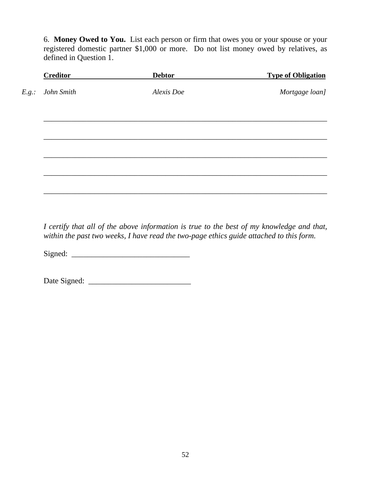6. **Money Owed to You.** List each person or firm that owes you or your spouse or your registered domestic partner \$1,000 or more. Do not list money owed by relatives, as defined in Question 1.

| <b>Creditor</b>  | <b>Debtor</b> | <b>Type of Obligation</b> |
|------------------|---------------|---------------------------|
| E.g.: John Smith | Alexis Doe    | Mortgage loan]            |
|                  |               |                           |
|                  |               |                           |
|                  |               |                           |
|                  |               |                           |
|                  |               |                           |
|                  |               |                           |

*I certify that all of the above information is true to the best of my knowledge and that, within the past two weeks, I have read the two-page ethics guide attached to this form.* 

Signed: \_\_\_\_\_\_\_\_\_\_\_\_\_\_\_\_\_\_\_\_\_\_\_\_\_\_\_\_\_\_

Date Signed: \_\_\_\_\_\_\_\_\_\_\_\_\_\_\_\_\_\_\_\_\_\_\_\_\_\_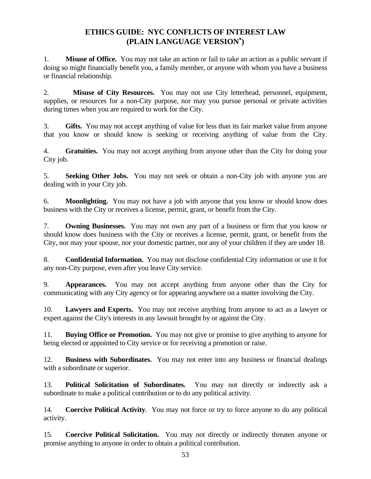# **ETHICS GUIDE: NYC CONFLICTS OF INTEREST LAW (PLAIN LANGUAGE VERSION )**

1. **Misuse of Office.** You may not take an action or fail to take an action as a public servant if doing so might financially benefit you, a family member, or anyone with whom you have a business or financial relationship.

2. **Misuse of City Resources.** You may not use City letterhead, personnel, equipment, supplies, or resources for a non-City purpose, nor may you pursue personal or private activities during times when you are required to work for the City.

3. **Gifts.** You may not accept anything of value for less than its fair market value from anyone that you know or should know is seeking or receiving anything of value from the City.

4. **Gratuities.** You may not accept anything from anyone other than the City for doing your City job.

5. **Seeking Other Jobs.** You may not seek or obtain a non-City job with anyone you are dealing with in your City job.

6. **Moonlighting.** You may not have a job with anyone that you know or should know does business with the City or receives a license, permit, grant, or benefit from the City.

7. **Owning Businesses.** You may not own any part of a business or firm that you know or should know does business with the City or receives a license, permit, grant, or benefit from the City, nor may your spouse, nor your domestic partner, nor any of your children if they are under 18.

8. **Confidential Information.** You may not disclose confidential City information or use it for any non-City purpose, even after you leave City service.

9. **Appearances.** You may not accept anything from anyone other than the City for communicating with any City agency or for appearing anywhere on a matter involving the City.

10. **Lawyers and Experts.** You may not receive anything from anyone to act as a lawyer or expert against the City's interests in any lawsuit brought by or against the City.

11. **Buying Office or Promotion.** You may not give or promise to give anything to anyone for being elected or appointed to City service or for receiving a promotion or raise.

12. **Business with Subordinates.** You may not enter into any business or financial dealings with a subordinate or superior.

13. **Political Solicitation of Subordinates.** You may not directly or indirectly ask a subordinate to make a political contribution or to do any political activity.

14. **Coercive Political Activity**. You may not force or try to force anyone to do any political activity.

15*.* **Coercive Political Solicitation.** You may not directly or indirectly threaten anyone or promise anything to anyone in order to obtain a political contribution.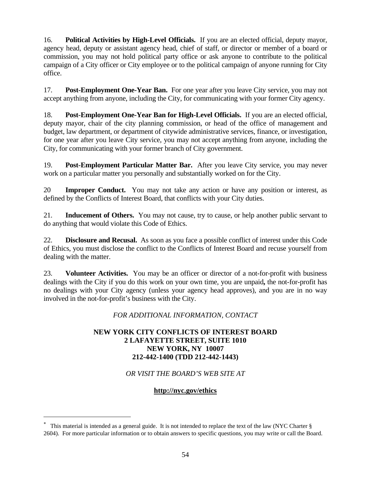16. **Political Activities by High-Level Officials.** If you are an elected official, deputy mayor, agency head, deputy or assistant agency head, chief of staff, or director or member of a board or commission, you may not hold political party office or ask anyone to contribute to the political campaign of a City officer or City employee or to the political campaign of anyone running for City office.

17. **Post-Employment One-Year Ban.** For one year after you leave City service, you may not accept anything from anyone, including the City, for communicating with your former City agency.

18. **Post-Employment One-Year Ban for High-Level Officials.** If you are an elected official, deputy mayor, chair of the city planning commission, or head of the office of management and budget, law department, or department of citywide administrative services, finance, or investigation, for one year after you leave City service, you may not accept anything from anyone, including the City, for communicating with your former branch of City government.

19. **Post-Employment Particular Matter Bar.** After you leave City service, you may never work on a particular matter you personally and substantially worked on for the City.

20 **Improper Conduct.** You may not take any action or have any position or interest, as defined by the Conflicts of Interest Board, that conflicts with your City duties.

21. **Inducement of Others.** You may not cause, try to cause, or help another public servant to do anything that would violate this Code of Ethics.

22. **Disclosure and Recusal.** As soon as you face a possible conflict of interest under this Code of Ethics, you must disclose the conflict to the Conflicts of Interest Board and recuse yourself from dealing with the matter.

23. **Volunteer Activities.** You may be an officer or director of a not-for-profit with business dealings with the City if you do this work on your own time, you are unpaid**,** the not-for-profit has no dealings with your City agency (unless your agency head approves), and you are in no way involved in the not-for-profit's business with the City.

*FOR ADDITIONAL INFORMATION, CONTACT* 

#### **NEW YORK CITY CONFLICTS OF INTEREST BOARD 2 LAFAYETTE STREET, SUITE 1010 NEW YORK, NY 10007 212-442-1400 (TDD 212-442-1443)**

*OR VISIT THE BOARD'S WEB SITE AT* 

### **http://nyc.gov/ethics**

 This material is intended as a general guide. It is not intended to replace the text of the law (NYC Charter § 2604). For more particular information or to obtain answers to specific questions, you may write or call the Board.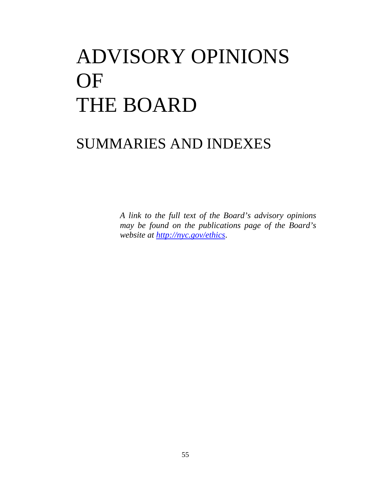# ADVISORY OPINIONS OF THE BOARD

# SUMMARIES AND INDEXES

*A link to the full text of the Board's advisory opinions may be found on the publications page of the Board's website at http://nyc.gov/ethics*.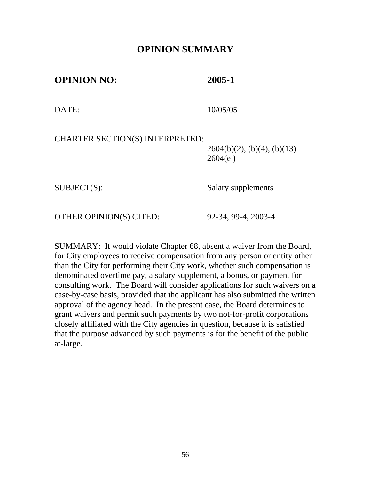# **OPINION SUMMARY**

**OPINION NO: 2005-1** 

DATE: 10/05/05

CHARTER SECTION(S) INTERPRETED:

 $2604(b)(2)$ , (b)(4), (b)(13)  $2604(e)$ 

SUBJECT(S): Salary supplements

OTHER OPINION(S) CITED: 92-34, 99-4, 2003-4

SUMMARY: It would violate Chapter 68, absent a waiver from the Board, for City employees to receive compensation from any person or entity other than the City for performing their City work, whether such compensation is denominated overtime pay, a salary supplement, a bonus, or payment for consulting work. The Board will consider applications for such waivers on a case-by-case basis, provided that the applicant has also submitted the written approval of the agency head. In the present case, the Board determines to grant waivers and permit such payments by two not-for-profit corporations closely affiliated with the City agencies in question, because it is satisfied that the purpose advanced by such payments is for the benefit of the public at-large.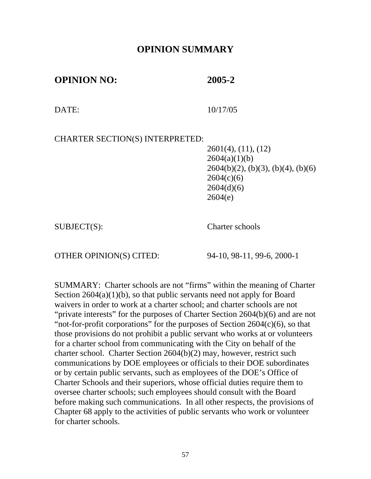# **OPINION SUMMARY**

**OPINION NO: 2005-2** 

DATE: 10/17/05

CHARTER SECTION(S) INTERPRETED:

2601(4), (11), (12)  $2604(a)(1)(b)$  $2604(b)(2)$ , (b)(3), (b)(4), (b)(6)  $2604(c)(6)$  $2604(d)(6)$ 2604(e)

SUBJECT(S): Charter schools

OTHER OPINION(S) CITED: 94-10, 98-11, 99-6, 2000-1

SUMMARY: Charter schools are not "firms" within the meaning of Charter Section  $2604(a)(1)(b)$ , so that public servants need not apply for Board waivers in order to work at a charter school; and charter schools are not "private interests" for the purposes of Charter Section 2604(b)(6) and are not "not-for-profit corporations" for the purposes of Section  $2604(c)(6)$ , so that those provisions do not prohibit a public servant who works at or volunteers for a charter school from communicating with the City on behalf of the charter school. Charter Section 2604(b)(2) may, however, restrict such communications by DOE employees or officials to their DOE subordinates or by certain public servants, such as employees of the DOE's Office of Charter Schools and their superiors, whose official duties require them to oversee charter schools; such employees should consult with the Board before making such communications. In all other respects, the provisions of Chapter 68 apply to the activities of public servants who work or volunteer for charter schools.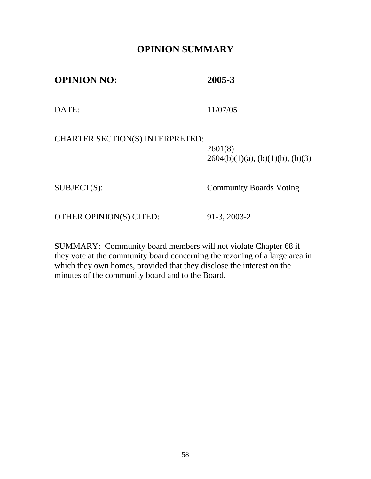# **OPINION SUMMARY**

**OPINION NO: 2005-3**  DATE: 11/07/05 CHARTER SECTION(S) INTERPRETED: 2601(8)  $2604(b)(1)(a)$ ,  $(b)(1)(b)$ ,  $(b)(3)$ SUBJECT(S): Community Boards Voting

OTHER OPINION(S) CITED: 91-3, 2003-2

SUMMARY: Community board members will not violate Chapter 68 if they vote at the community board concerning the rezoning of a large area in which they own homes, provided that they disclose the interest on the minutes of the community board and to the Board.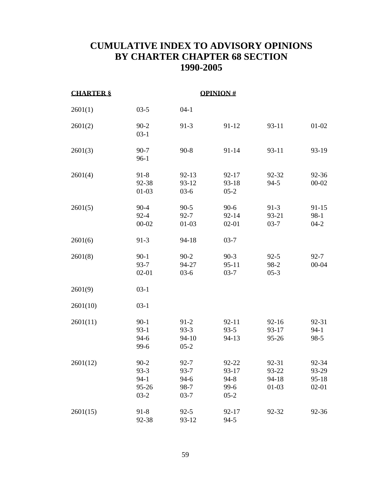# **CUMULATIVE INDEX TO ADVISORY OPINIONS BY CHARTER CHAPTER 68 SECTION 1990-2005**

| <b>CHARTER §</b> |                                                   |                                                    | <b>OPINION#</b>                              |                                        |                                        |
|------------------|---------------------------------------------------|----------------------------------------------------|----------------------------------------------|----------------------------------------|----------------------------------------|
| 2601(1)          | $03-5$                                            | $04-1$                                             |                                              |                                        |                                        |
| 2601(2)          | $90 - 2$<br>$03-1$                                | $91-3$                                             | 91-12                                        | 93-11                                  | $01-02$                                |
| 2601(3)          | $90 - 7$<br>$96-1$                                | $90 - 8$                                           | 91-14                                        | 93-11                                  | $93-19$                                |
| 2601(4)          | $91 - 8$<br>92-38<br>$01 - 03$                    | $92 - 13$<br>93-12<br>$03-6$                       | 92-17<br>93-18<br>$05 - 2$                   | 92-32<br>$94-5$                        | 92-36<br>$00 - 02$                     |
| 2601(5)          | $90 - 4$<br>$92 - 4$<br>$00 - 02$                 | $90 - 5$<br>$92 - 7$<br>$01-03$                    | $90-6$<br>92-14<br>$02 - 01$                 | $91-3$<br>93-21<br>$03-7$              | 91-15<br>$98-1$<br>$04-2$              |
| 2601(6)          | $91-3$                                            | 94-18                                              | $03 - 7$                                     |                                        |                                        |
| 2601(8)          | $90 - 1$<br>$93 - 7$<br>$02 - 01$                 | $90 - 2$<br>94-27<br>$03-6$                        | $90-3$<br>$95 - 11$<br>$03 - 7$              | $92 - 5$<br>98-2<br>$05-3$             | $92 - 7$<br>$00 - 04$                  |
| 2601(9)          | $03-1$                                            |                                                    |                                              |                                        |                                        |
| 2601(10)         | $03-1$                                            |                                                    |                                              |                                        |                                        |
| 2601(11)         | $90 - 1$<br>$93-1$<br>$94-6$<br>99-6              | $91 - 2$<br>$93-3$<br>94-10<br>$05 - 2$            | $92 - 11$<br>$93 - 5$<br>94-13               | $92 - 16$<br>93-17<br>95-26            | 92-31<br>$94-1$<br>$98-5$              |
| 2601(12)         | $90-2$<br>$93-3$<br>$94-1$<br>$95 - 26$<br>$03-2$ | $92 - 7$<br>$93 - 7$<br>$94-6$<br>98-7<br>$03 - 7$ | 92-22<br>93-17<br>$94 - 8$<br>99-6<br>$05-2$ | 92-31<br>93-22<br>$94 - 18$<br>$01-03$ | 92-34<br>93-29<br>$95 - 18$<br>$02-01$ |
| 2601(15)         | $91 - 8$<br>92-38                                 | $92 - 5$<br>93-12                                  | 92-17<br>$94-5$                              | 92-32                                  | 92-36                                  |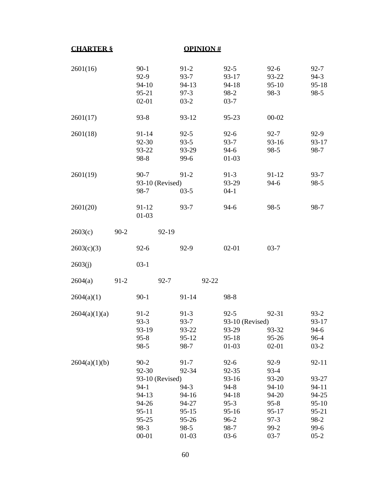| <b>CHARTER §</b> |        |                                                                                                    | <b>OPINION#</b>                                                             |                                                                                                |                                                                                        |                                                                            |
|------------------|--------|----------------------------------------------------------------------------------------------------|-----------------------------------------------------------------------------|------------------------------------------------------------------------------------------------|----------------------------------------------------------------------------------------|----------------------------------------------------------------------------|
| 2601(16)         |        | $90-1$<br>$92-9$<br>94-10<br>95-21<br>$02 - 01$                                                    | $91-2$<br>93-7<br>94-13<br>$97-3$<br>$03-2$                                 | $92 - 5$<br>93-17<br>94-18<br>98-2<br>$03 - 7$                                                 | $92-6$<br>93-22<br>$95-10$<br>98-3                                                     | $92 - 7$<br>$94-3$<br>$95 - 18$<br>$98-5$                                  |
| 2601(17)         |        | $93 - 8$                                                                                           | $93 - 12$                                                                   | 95-23                                                                                          | $00 - 02$                                                                              |                                                                            |
| 2601(18)         |        | 91-14<br>92-30<br>93-22<br>98-8                                                                    | $92 - 5$<br>$93 - 5$<br>93-29<br>99-6                                       | $92-6$<br>93-7<br>$94-6$<br>$01-03$                                                            | $92 - 7$<br>93-16<br>$98-5$                                                            | $92-9$<br>93-17<br>$98-7$                                                  |
| 2601(19)         |        | $90 - 7$<br>93-10 (Revised)<br>98-7                                                                | $91 - 2$<br>$03-5$                                                          | $91-3$<br>93-29<br>$04-1$                                                                      | $91 - 12$<br>$94-6$                                                                    | $93 - 7$<br>$98-5$                                                         |
| 2601(20)         |        | 91-12<br>$01 - 03$                                                                                 | $93 - 7$                                                                    | $94-6$                                                                                         | 98-5                                                                                   | 98-7                                                                       |
| 2603(c)          | $90-2$ | 92-19                                                                                              |                                                                             |                                                                                                |                                                                                        |                                                                            |
| 2603(c)(3)       |        | $92 - 6$                                                                                           | 92-9                                                                        | $02 - 01$                                                                                      | $03 - 7$                                                                               |                                                                            |
| 2603(j)          |        | $03-1$                                                                                             |                                                                             |                                                                                                |                                                                                        |                                                                            |
| 2604(a)          | $91-2$ | $92 - 7$                                                                                           |                                                                             | 92-22                                                                                          |                                                                                        |                                                                            |
| 2604(a)(1)       |        | $90-1$                                                                                             | $91 - 14$                                                                   | 98-8                                                                                           |                                                                                        |                                                                            |
| 2604(a)(1)(a)    |        | $91-2$<br>$93-3$<br>93-19<br>$95 - 8$<br>$98-5$                                                    | $91-3$<br>$93 - 7$<br>93-22<br>$95-12$<br>98-7                              | $92 - 5$<br>93-10 (Revised)<br>93-29<br>$95 - 18$<br>$01-03$                                   | 92-31<br>93-32<br>95-26<br>$02 - 01$                                                   | $93 - 2$<br>93-17<br>$94-6$<br>$96 - 4$<br>$03-2$                          |
| 2604(a)(1)(b)    |        | $90 - 2$<br>92-30<br>93-10 (Revised)<br>$94-1$<br>94-13<br>94-26<br>$95 - 11$<br>$95 - 25$<br>98-3 | $91 - 7$<br>92-34<br>$94-3$<br>94-16<br>94-27<br>$95 - 15$<br>95-26<br>98-5 | $92-6$<br>92-35<br>$93-16$<br>$94 - 8$<br>$94 - 18$<br>$95-3$<br>$95 - 16$<br>$96 - 2$<br>98-7 | 92-9<br>$93-4$<br>93-20<br>94-10<br>94-20<br>$95 - 8$<br>$95 - 17$<br>$97-3$<br>$99-2$ | $92 - 11$<br>93-27<br>94-11<br>94-25<br>$95-10$<br>95-21<br>98-2<br>$99-6$ |
|                  |        | $00 - 01$                                                                                          | $01-03$                                                                     | $03-6$                                                                                         | $03 - 7$                                                                               | $05-2$                                                                     |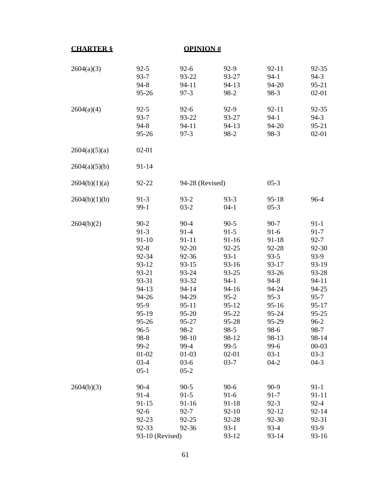| <b>CHARTER &amp;</b> |                                                                                                                                                                                                | <b>OPINION#</b>                                                                                                                                                               |                                                                                                                                                                                        |                                                                                                                                                                               |                                                                                                                                                                                       |
|----------------------|------------------------------------------------------------------------------------------------------------------------------------------------------------------------------------------------|-------------------------------------------------------------------------------------------------------------------------------------------------------------------------------|----------------------------------------------------------------------------------------------------------------------------------------------------------------------------------------|-------------------------------------------------------------------------------------------------------------------------------------------------------------------------------|---------------------------------------------------------------------------------------------------------------------------------------------------------------------------------------|
| 2604(a)(3)           | $92 - 5$<br>$93 - 7$<br>$94 - 8$<br>95-26                                                                                                                                                      | $92 - 6$<br>93-22<br>94-11<br>$97-3$                                                                                                                                          | 92-9<br>93-27<br>94-13<br>98-2                                                                                                                                                         | $92 - 11$<br>$94-1$<br>94-20<br>98-3                                                                                                                                          | 92-35<br>$94-3$<br>95-21<br>$02 - 01$                                                                                                                                                 |
| 2604(a)(4)           | $92 - 5$<br>$93 - 7$<br>$94 - 8$<br>95-26                                                                                                                                                      | $92 - 6$<br>93-22<br>94-11<br>$97-3$                                                                                                                                          | 92-9<br>93-27<br>94-13<br>98-2                                                                                                                                                         | $92 - 11$<br>$94-1$<br>94-20<br>98-3                                                                                                                                          | 92-35<br>$94-3$<br>$95 - 21$<br>$02 - 01$                                                                                                                                             |
| 2604(a)(5)(a)        | $02 - 01$                                                                                                                                                                                      |                                                                                                                                                                               |                                                                                                                                                                                        |                                                                                                                                                                               |                                                                                                                                                                                       |
| 2604(a)(5)(b)        | 91-14                                                                                                                                                                                          |                                                                                                                                                                               |                                                                                                                                                                                        |                                                                                                                                                                               |                                                                                                                                                                                       |
| 2604(b)(1)(a)        | 92-22                                                                                                                                                                                          | 94-28 (Revised)                                                                                                                                                               |                                                                                                                                                                                        | $05-3$                                                                                                                                                                        |                                                                                                                                                                                       |
| 2604(b)(1)(b)        | $91-3$<br>$99-1$                                                                                                                                                                               | $93 - 2$<br>$03-2$                                                                                                                                                            | $93 - 3$<br>$04-1$                                                                                                                                                                     | $95 - 18$<br>$05-3$                                                                                                                                                           | 96-4                                                                                                                                                                                  |
| 2604(b)(2)           | $90 - 2$<br>$91-3$<br>$91 - 10$<br>$92 - 8$<br>92-34<br>93-12<br>93-21<br>93-31<br>94-13<br>94-26<br>95-9<br>95-19<br>$95 - 26$<br>$96 - 5$<br>98-8<br>$99-2$<br>$01 - 02$<br>$03-4$<br>$05-1$ | $90 - 4$<br>$91-4$<br>91-11<br>92-20<br>92-36<br>93-15<br>93-24<br>93-32<br>94-14<br>94-29<br>95-11<br>95-20<br>95-27<br>98-2<br>98-10<br>99-4<br>$01-03$<br>$03-6$<br>$05-2$ | $90 - 5$<br>$91-5$<br>91-16<br>92-25<br>$93-1$<br>93-16<br>93-25<br>$94 - 1$<br>94-16<br>$95 - 2$<br>$95 - 12$<br>95-22<br>95-28<br>$98-5$<br>98-12<br>$99-5$<br>$02 - 01$<br>$03 - 7$ | $90 - 7$<br>$91-6$<br>91-18<br>92-28<br>$93 - 5$<br>93-17<br>93-26<br>$94 - 8$<br>94-24<br>$95-3$<br>$95 - 16$<br>95-24<br>95-29<br>98-6<br>98-13<br>99-6<br>$03-1$<br>$04-2$ | $91 - 1$<br>$91 - 7$<br>$92 - 7$<br>92-30<br>93-9<br>93-19<br>93-28<br>94-11<br>94-25<br>$95 - 7$<br>$95 - 17$<br>95-25<br>$96 - 2$<br>98-7<br>98-14<br>$00 - 03$<br>$03-3$<br>$04-3$ |
| 2604(b)(3)           | $90 - 4$<br>$91-4$<br>$91 - 15$<br>$92-6$<br>92-23<br>92-33<br>93-10 (Revised)                                                                                                                 | $90 - 5$<br>$91-5$<br>91-16<br>$92 - 7$<br>92-25<br>92-36                                                                                                                     | $90-6$<br>$91-6$<br>91-18<br>$92 - 10$<br>92-28<br>$93-1$<br>93-12                                                                                                                     | $90-9$<br>$91 - 7$<br>$92-3$<br>$92 - 12$<br>92-30<br>$93-4$<br>$93 - 14$                                                                                                     | $91 - 1$<br>91-11<br>$92 - 4$<br>$92 - 14$<br>92-31<br>93-9<br>$93-16$                                                                                                                |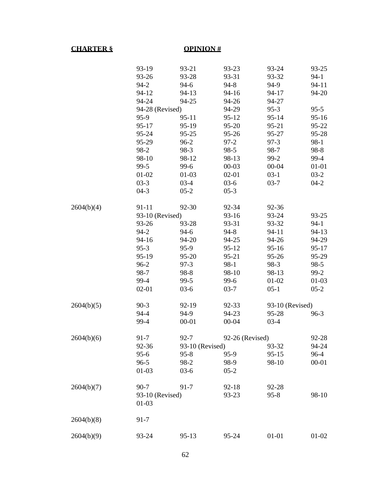#### **CHARTER § OPINION #**

|            | 93-19           | 93-21           | 93-23           | 93-24           | 93-25     |
|------------|-----------------|-----------------|-----------------|-----------------|-----------|
|            | 93-26           | 93-28           | 93-31           | 93-32           | $94-1$    |
|            | $94-2$          | $94-6$          | $94 - 8$        | 94-9            | 94-11     |
|            | 94-12           | 94-13           | 94-16           | 94-17           | 94-20     |
|            | 94-24           | 94-25           | 94-26           | 94-27           |           |
|            | 94-28 (Revised) |                 | 94-29           | $95-3$          | $95 - 5$  |
|            | 95-9            | $95 - 11$       | $95 - 12$       | $95 - 14$       | $95 - 16$ |
|            | $95 - 17$       | 95-19           | 95-20           | 95-21           | 95-22     |
|            | 95-24           | 95-25           | 95-26           | 95-27           | 95-28     |
|            | 95-29           | $96-2$          | $97-2$          | $97-3$          | 98-1      |
|            | 98-2            | 98-3            | $98 - 5$        | 98-7            | 98-8      |
|            | 98-10           | 98-12           | 98-13           | $99-2$          | 99-4      |
|            | $99-5$          | 99-6            | $00 - 03$       | $00 - 04$       | $01 - 01$ |
|            | $01 - 02$       | $01-03$         | $02 - 01$       | $03-1$          | $03-2$    |
|            | $03-3$          | $03-4$          | $03-6$          | $03 - 7$        | $04-2$    |
|            | $04-3$          | $05-2$          | $05-3$          |                 |           |
| 2604(b)(4) | $91 - 11$       | 92-30           | 92-34           | 92-36           |           |
|            | 93-10 (Revised) |                 | $93-16$         | 93-24           | 93-25     |
|            | 93-26           | 93-28           | 93-31           | 93-32           | $94-1$    |
|            | $94-2$          | $94-6$          | $94 - 8$        | $94 - 11$       | $94-13$   |
|            | 94-16           | 94-20           | 94-25           | 94-26           | 94-29     |
|            | $95-3$          | $95-9$          | $95 - 12$       | $95 - 16$       | $95 - 17$ |
|            | 95-19           | 95-20           | 95-21           | 95-26           | 95-29     |
|            | $96 - 2$        | $97-3$          | $98-1$          | 98-3            | $98-5$    |
|            | 98-7            | 98-8            | 98-10           | 98-13           | $99-2$    |
|            | 99-4            | 99-5            | 99-6            | $01 - 02$       | $01-03$   |
|            | $02 - 01$       | $03-6$          | $03 - 7$        | $05-1$          | $05-2$    |
| 2604(b)(5) | $90-3$          | 92-19           | 92-33           | 93-10 (Revised) |           |
|            | 94-4            | 94-9            | 94-23           | 95-28           | $96-3$    |
|            | 99-4            | $00 - 01$       | $00 - 04$       | $03-4$          |           |
| 2604(b)(6) | 91-7            | $92 - 7$        | 92-26 (Revised) |                 | 92-28     |
|            | 92-36           | 93-10 (Revised) |                 | 93-32           | 94-24     |
|            | $95 - 6$        | $95 - 8$        | 95-9            | $95 - 15$       | 96-4      |
|            | $96 - 5$        | 98-2            | 98-9            | 98-10           | $00 - 01$ |
|            | $01-03$         | $03-6$          | $05-2$          |                 |           |
| 2604(b)(7) | $90 - 7$        | $91 - 7$        | $92 - 18$       | 92-28           |           |
|            | 93-10 (Revised) |                 | 93-23           | $95 - 8$        | 98-10     |
|            | $01-03$         |                 |                 |                 |           |
| 2604(b)(8) | $91 - 7$        |                 |                 |                 |           |
| 2604(b)(9) | 93-24           | $95-13$         | 95-24           | $01 - 01$       | 01-02     |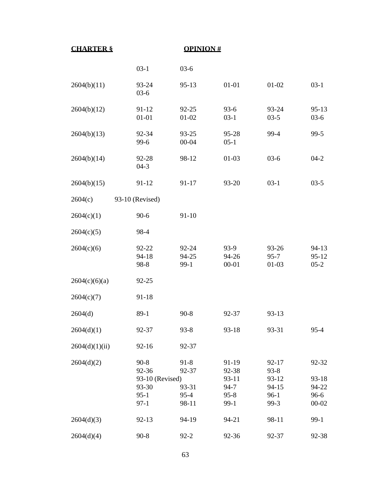| <b>CHARTER §</b> | <b>OPINION#</b>                                                 |                                                 |                                                           |                                                                 |                                                  |  |
|------------------|-----------------------------------------------------------------|-------------------------------------------------|-----------------------------------------------------------|-----------------------------------------------------------------|--------------------------------------------------|--|
|                  | $03-1$                                                          | $03-6$                                          |                                                           |                                                                 |                                                  |  |
| 2604(b)(11)      | 93-24<br>$03-6$                                                 | $95-13$                                         | $01 - 01$                                                 | $01 - 02$                                                       | $03-1$                                           |  |
| 2604(b)(12)      | $91 - 12$<br>$01 - 01$                                          | 92-25<br>$01 - 02$                              | $93-6$<br>$03-1$                                          | 93-24<br>$03-5$                                                 | $95-13$<br>$03-6$                                |  |
| 2604(b)(13)      | 92-34<br>$99-6$                                                 | 93-25<br>00-04                                  | 95-28<br>$05-1$                                           | 99-4                                                            | $99-5$                                           |  |
| 2604(b)(14)      | 92-28<br>$04-3$                                                 | 98-12                                           | $01-03$                                                   | $03-6$                                                          | $04-2$                                           |  |
| 2604(b)(15)      | $91 - 12$                                                       | 91-17                                           | 93-20                                                     | $03-1$                                                          | $03 - 5$                                         |  |
| 2604(c)          | 93-10 (Revised)                                                 |                                                 |                                                           |                                                                 |                                                  |  |
| 2604(c)(1)       | $90 - 6$                                                        | $91 - 10$                                       |                                                           |                                                                 |                                                  |  |
| 2604(c)(5)       | 98-4                                                            |                                                 |                                                           |                                                                 |                                                  |  |
| 2604(c)(6)       | 92-22<br>94-18<br>98-8                                          | 92-24<br>94-25<br>$99-1$                        | 93-9<br>94-26<br>$00 - 01$                                | 93-26<br>$95 - 7$<br>$01-03$                                    | $94-13$<br>$95 - 12$<br>$05-2$                   |  |
| 2604(c)(6)(a)    | $92 - 25$                                                       |                                                 |                                                           |                                                                 |                                                  |  |
| 2604(c)(7)       | $91 - 18$                                                       |                                                 |                                                           |                                                                 |                                                  |  |
| 2604(d)          | $89-1$                                                          | $90 - 8$                                        | 92-37                                                     | 93-13                                                           |                                                  |  |
| 2604(d)(1)       | 92-37                                                           | $93 - 8$                                        | $93-18$                                                   | 93-31                                                           | $95 - 4$                                         |  |
| 2604(d)(1)(ii)   | $92 - 16$                                                       | 92-37                                           |                                                           |                                                                 |                                                  |  |
| 2604(d)(2)       | $90-8$<br>92-36<br>93-10 (Revised)<br>93-30<br>$95-1$<br>$97-1$ | $91 - 8$<br>92-37<br>93-31<br>$95 - 4$<br>98-11 | 91-19<br>92-38<br>93-11<br>$94 - 7$<br>$95 - 8$<br>$99-1$ | $92 - 17$<br>$93 - 8$<br>$93-12$<br>$94 - 15$<br>$96-1$<br>99-3 | 92-32<br>$93-18$<br>94-22<br>$96-6$<br>$00 - 02$ |  |
| 2604(d)(3)       | $92 - 13$                                                       | 94-19                                           | 94-21                                                     | 98-11                                                           | $99-1$                                           |  |
| 2604(d)(4)       | $90 - 8$                                                        | $92 - 2$                                        | 92-36                                                     | 92-37                                                           | 92-38                                            |  |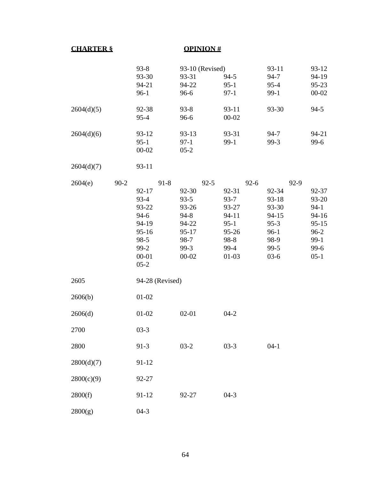#### **CHARTER § OPINION #**

|            |        | $93 - 8$                                                                                                          | 93-10 (Revised)                                                                                   |                                                                                                     | 93-11                                                                                            | $93-12$                                                                                      |
|------------|--------|-------------------------------------------------------------------------------------------------------------------|---------------------------------------------------------------------------------------------------|-----------------------------------------------------------------------------------------------------|--------------------------------------------------------------------------------------------------|----------------------------------------------------------------------------------------------|
|            |        | 93-30                                                                                                             | 93-31                                                                                             | $94-5$                                                                                              | 94-7                                                                                             | 94-19                                                                                        |
|            |        | 94-21                                                                                                             | 94-22                                                                                             | $95-1$                                                                                              | $95 - 4$                                                                                         | $95 - 23$                                                                                    |
|            |        | $96-1$                                                                                                            | 96-6                                                                                              | $97-1$                                                                                              | $99-1$                                                                                           | $00 - 02$                                                                                    |
| 2604(d)(5) |        | 92-38<br>$95 - 4$                                                                                                 | $93 - 8$<br>96-6                                                                                  | $93 - 11$<br>$00 - 02$                                                                              | 93-30                                                                                            | $94-5$                                                                                       |
| 2604(d)(6) |        | $93-12$<br>$95-1$<br>$00 - 02$                                                                                    | $93-13$<br>$97-1$<br>$05-2$                                                                       | 93-31<br>$99-1$                                                                                     | $94 - 7$<br>$99-3$                                                                               | 94-21<br>$99-6$                                                                              |
| 2604(d)(7) |        | $93 - 11$                                                                                                         |                                                                                                   |                                                                                                     |                                                                                                  |                                                                                              |
| 2604(e)    | $90-2$ | $91 - 8$<br>$92 - 17$<br>$93-4$<br>93-22<br>$94-6$<br>94-19<br>$95 - 16$<br>98-5<br>$99-2$<br>$00 - 01$<br>$05-2$ | $92 - 5$<br>92-30<br>$93 - 5$<br>93-26<br>$94 - 8$<br>94-22<br>95-17<br>98-7<br>99-3<br>$00 - 02$ | $92-6$<br>92-31<br>$93 - 7$<br>93-27<br>$94 - 11$<br>$95-1$<br>$95 - 26$<br>98-8<br>99-4<br>$01-03$ | $92-9$<br>92-34<br>$93-18$<br>93-30<br>$94 - 15$<br>$95-3$<br>$96-1$<br>98-9<br>$99-5$<br>$03-6$ | 92-37<br>93-20<br>$94-1$<br>$94 - 16$<br>$95 - 15$<br>$96 - 2$<br>$99-1$<br>$99-6$<br>$05-1$ |
| 2605       |        | 94-28 (Revised)                                                                                                   |                                                                                                   |                                                                                                     |                                                                                                  |                                                                                              |
| 2606(b)    |        | $01 - 02$                                                                                                         |                                                                                                   |                                                                                                     |                                                                                                  |                                                                                              |
| 2606(d)    |        | $01 - 02$                                                                                                         | $02 - 01$                                                                                         | $04-2$                                                                                              |                                                                                                  |                                                                                              |
| 2700       |        | $03 - 3$                                                                                                          |                                                                                                   |                                                                                                     |                                                                                                  |                                                                                              |
| 2800       |        | $91-3$                                                                                                            | $03-2$                                                                                            | $03-3$                                                                                              | $04-1$                                                                                           |                                                                                              |
| 2800(d)(7) |        | 91-12                                                                                                             |                                                                                                   |                                                                                                     |                                                                                                  |                                                                                              |
| 2800(c)(9) |        | 92-27                                                                                                             |                                                                                                   |                                                                                                     |                                                                                                  |                                                                                              |
| 2800(f)    |        | $91 - 12$                                                                                                         | 92-27                                                                                             | $04-3$                                                                                              |                                                                                                  |                                                                                              |
| 2800(g)    |        | $04-3$                                                                                                            |                                                                                                   |                                                                                                     |                                                                                                  |                                                                                              |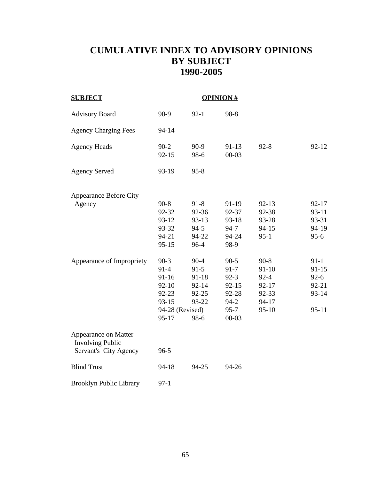# **CUMULATIVE INDEX TO ADVISORY OPINIONS BY SUBJECT 1990-2005**

| <b>SUBJECT</b>                                                           |                                                                                              | <b>OPINION#</b>                                                        |                                                                                           |                                                                             |                                                                  |
|--------------------------------------------------------------------------|----------------------------------------------------------------------------------------------|------------------------------------------------------------------------|-------------------------------------------------------------------------------------------|-----------------------------------------------------------------------------|------------------------------------------------------------------|
| <b>Advisory Board</b>                                                    | $90-9$                                                                                       | $92 - 1$                                                               | 98-8                                                                                      |                                                                             |                                                                  |
| <b>Agency Charging Fees</b>                                              | 94-14                                                                                        |                                                                        |                                                                                           |                                                                             |                                                                  |
| <b>Agency Heads</b>                                                      | $90 - 2$<br>$92 - 15$                                                                        | $90-9$<br>98-6                                                         | $91-13$<br>$00 - 03$                                                                      | $92 - 8$                                                                    | $92 - 12$                                                        |
| <b>Agency Served</b>                                                     | 93-19                                                                                        | $95 - 8$                                                               |                                                                                           |                                                                             |                                                                  |
| <b>Appearance Before City</b>                                            |                                                                                              |                                                                        |                                                                                           |                                                                             |                                                                  |
| Agency                                                                   | $90-8$<br>92-32<br>93-12<br>93-32<br>94-21<br>$95 - 15$                                      | $91 - 8$<br>92-36<br>93-13<br>$94-5$<br>94-22<br>96-4                  | 91-19<br>92-37<br>93-18<br>$94 - 7$<br>94-24<br>98-9                                      | $92 - 13$<br>92-38<br>93-28<br>$94 - 15$<br>$95-1$                          | $92 - 17$<br>$93-11$<br>93-31<br>94-19<br>$95 - 6$               |
| Appearance of Impropriety                                                | $90-3$<br>$91-4$<br>$91 - 16$<br>$92 - 10$<br>92-23<br>$93 - 15$<br>94-28 (Revised)<br>95-17 | $90 - 4$<br>$91-5$<br>$91 - 18$<br>92-14<br>$92 - 25$<br>93-22<br>98-6 | $90 - 5$<br>$91 - 7$<br>$92 - 3$<br>$92 - 15$<br>92-28<br>$94-2$<br>$95 - 7$<br>$00 - 03$ | $90 - 8$<br>$91 - 10$<br>$92 - 4$<br>$92 - 17$<br>92-33<br>94-17<br>$95-10$ | $91-1$<br>$91 - 15$<br>$92-6$<br>$92 - 21$<br>93-14<br>$95 - 11$ |
| Appearance on Matter<br><b>Involving Public</b><br>Servant's City Agency | $96 - 5$                                                                                     |                                                                        |                                                                                           |                                                                             |                                                                  |
| <b>Blind Trust</b>                                                       | 94-18                                                                                        | 94-25                                                                  | 94-26                                                                                     |                                                                             |                                                                  |
| <b>Brooklyn Public Library</b>                                           | $97-1$                                                                                       |                                                                        |                                                                                           |                                                                             |                                                                  |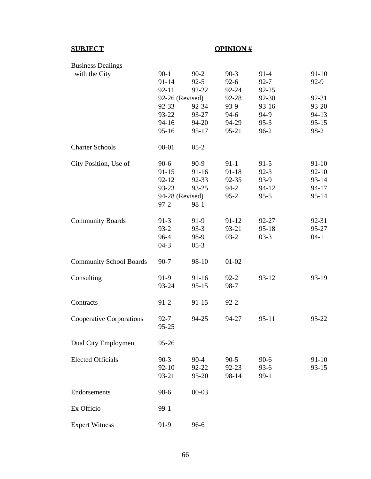$\sim 10^{-10}$ 

# **SUBJECT OPINION #**

| <b>Business Dealings</b>        |                 |           |           |           |           |
|---------------------------------|-----------------|-----------|-----------|-----------|-----------|
| with the City                   | $90-1$          | $90 - 2$  | $90-3$    | $91-4$    | $91-10$   |
|                                 | $91 - 14$       | $92 - 5$  | $92 - 6$  | $92 - 7$  | $92-9$    |
|                                 | $92 - 11$       | 92-22     | 92-24     | $92 - 25$ |           |
|                                 | 92-26 (Revised) |           | 92-28     | 92-30     | 92-31     |
|                                 | 92-33           | 92-34     | 93-9      | $93-16$   | 93-20     |
|                                 | 93-22           | 93-27     | $94-6$    | 94-9      | $94 - 13$ |
|                                 | 94-16           | 94-20     | 94-29     | $95-3$    | $95 - 15$ |
|                                 | $95 - 16$       | 95-17     | $95 - 21$ | $96-2$    | $98-2$    |
| <b>Charter Schools</b>          | $00 - 01$       | $05-2$    |           |           |           |
| City Position, Use of           | $90-6$          | $90-9$    | $91-1$    | $91-5$    | $91-10$   |
|                                 | $91 - 15$       | 91-16     | $91 - 18$ | $92-3$    | $92 - 10$ |
|                                 | $92 - 12$       | 92-33     | 92-35     | 93-9      | $93 - 14$ |
|                                 | 93-23           | 93-25     | $94 - 2$  | $94 - 12$ | $94 - 17$ |
|                                 | 94-28 (Revised) |           | $95 - 2$  | $95 - 5$  | $95 - 14$ |
|                                 | $97 - 2$        | $98-1$    |           |           |           |
| <b>Community Boards</b>         | $91-3$          | 91-9      | $91 - 12$ | 92-27     | 92-31     |
|                                 | $93-2$          | $93-3$    | 93-21     | $95 - 18$ | 95-27     |
|                                 | 96-4            | 98-9      | $03-2$    | $03-3$    | $04-1$    |
|                                 | $04-3$          | $05-3$    |           |           |           |
| <b>Community School Boards</b>  | $90 - 7$        | 98-10     | $01 - 02$ |           |           |
| Consulting                      | $91-9$          | $91 - 16$ | $92 - 2$  | $93 - 12$ | 93-19     |
|                                 | 93-24           | $95 - 15$ | 98-7      |           |           |
| Contracts                       | $91-2$          | $91 - 15$ | $92 - 2$  |           |           |
| <b>Cooperative Corporations</b> | $92 - 7$        | 94-25     | 94-27     | $95 - 11$ | $95 - 22$ |
|                                 | 95-25           |           |           |           |           |
| Dual City Employment            | 95-26           |           |           |           |           |
| <b>Elected Officials</b>        | $90-3$          | $90 - 4$  | $90-5$    | $90-6$    | 91-10     |
|                                 | $92 - 10$       | 92-22     | 92-23     | $93-6$    | $93 - 15$ |
|                                 | 93-21           | 95-20     | 98-14     | $99-1$    |           |
| Endorsements                    | 98-6            | $00 - 03$ |           |           |           |
| Ex Officio                      | $99-1$          |           |           |           |           |
| <b>Expert Witness</b>           | 91-9            | $96-6$    |           |           |           |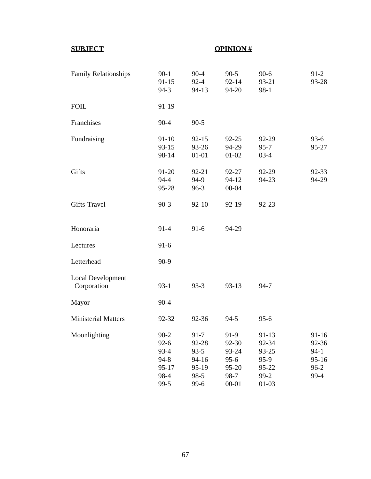| <b>Family Relationships</b>             | $90 - 1$<br>$91 - 15$<br>$94-3$                                             | $90 - 4$<br>$92 - 4$<br>94-13                                       | $90 - 5$<br>$92 - 14$<br>94-20                                 | $90-6$<br>93-21<br>$98-1$                                           | $91-2$<br>93-28                                               |
|-----------------------------------------|-----------------------------------------------------------------------------|---------------------------------------------------------------------|----------------------------------------------------------------|---------------------------------------------------------------------|---------------------------------------------------------------|
| <b>FOIL</b>                             | 91-19                                                                       |                                                                     |                                                                |                                                                     |                                                               |
| Franchises                              | $90 - 4$                                                                    | $90 - 5$                                                            |                                                                |                                                                     |                                                               |
| Fundraising                             | $91 - 10$<br>$93 - 15$<br>98-14                                             | $92 - 15$<br>93-26<br>$01 - 01$                                     | $92 - 25$<br>94-29<br>01-02                                    | 92-29<br>$95 - 7$<br>$03-4$                                         | $93-6$<br>95-27                                               |
| Gifts                                   | 91-20<br>$94 - 4$<br>95-28                                                  | 92-21<br>94-9<br>$96-3$                                             | 92-27<br>$94 - 12$<br>$00 - 04$                                | 92-29<br>94-23                                                      | $92 - 33$<br>94-29                                            |
| Gifts-Travel                            | $90-3$                                                                      | $92 - 10$                                                           | 92-19                                                          | 92-23                                                               |                                                               |
| Honoraria                               | $91-4$                                                                      | $91-6$                                                              | 94-29                                                          |                                                                     |                                                               |
| Lectures                                | $91-6$                                                                      |                                                                     |                                                                |                                                                     |                                                               |
| Letterhead                              | $90-9$                                                                      |                                                                     |                                                                |                                                                     |                                                               |
| <b>Local Development</b><br>Corporation | $93-1$                                                                      | $93-3$                                                              | $93-13$                                                        | $94 - 7$                                                            |                                                               |
| Mayor                                   | $90 - 4$                                                                    |                                                                     |                                                                |                                                                     |                                                               |
| <b>Ministerial Matters</b>              | 92-32                                                                       | 92-36                                                               | $94 - 5$                                                       | $95 - 6$                                                            |                                                               |
| Moonlighting                            | $90 - 2$<br>$92 - 6$<br>$93 - 4$<br>$94 - 8$<br>$95 - 17$<br>98-4<br>$99-5$ | $91 - 7$<br>92-28<br>$93 - 5$<br>94-16<br>95-19<br>$98-5$<br>$99-6$ | 91-9<br>92-30<br>93-24<br>$95-6$<br>95-20<br>98-7<br>$00 - 01$ | $91 - 13$<br>92-34<br>93-25<br>$95-9$<br>95-22<br>$99-2$<br>$01-03$ | $91 - 16$<br>92-36<br>$94-1$<br>$95 - 16$<br>$96 - 2$<br>99-4 |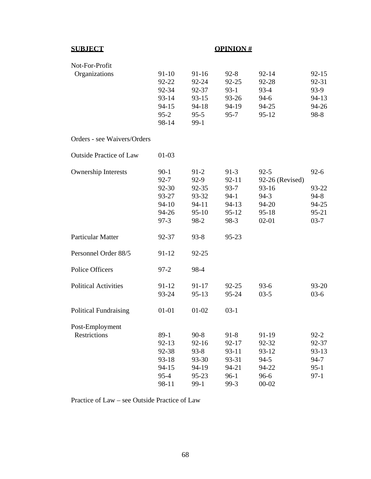| Not-For-Profit                 |           |           |           |                 |           |
|--------------------------------|-----------|-----------|-----------|-----------------|-----------|
| Organizations                  | $91 - 10$ | $91 - 16$ | $92 - 8$  | $92 - 14$       | $92 - 15$ |
|                                | $92 - 22$ | 92-24     | $92 - 25$ | 92-28           | 92-31     |
|                                | 92-34     | 92-37     | $93-1$    | $93-4$          | $93-9$    |
|                                | $93 - 14$ | $93 - 15$ | 93-26     | $94-6$          | $94 - 13$ |
|                                | $94 - 15$ | $94 - 18$ | 94-19     | 94-25           | 94-26     |
|                                | $95 - 2$  | $95 - 5$  | $95 - 7$  | $95 - 12$       | $98-8$    |
|                                | 98-14     | $99-1$    |           |                 |           |
| Orders - see Waivers/Orders    |           |           |           |                 |           |
| <b>Outside Practice of Law</b> | $01-03$   |           |           |                 |           |
| <b>Ownership Interests</b>     | $90-1$    | $91-2$    | $91-3$    | $92 - 5$        | $92 - 6$  |
|                                | $92 - 7$  | $92-9$    | $92 - 11$ | 92-26 (Revised) |           |
|                                | 92-30     | 92-35     | $93 - 7$  | 93-16           | 93-22     |
|                                | 93-27     | 93-32     | $94-1$    | $94-3$          | $94 - 8$  |
|                                | $94 - 10$ | 94-11     | $94-13$   | 94-20           | 94-25     |
|                                | 94-26     | $95-10$   | $95 - 12$ | $95 - 18$       | $95 - 21$ |
|                                | $97-3$    | 98-2      | 98-3      | $02 - 01$       | $03 - 7$  |
| <b>Particular Matter</b>       | 92-37     | $93 - 8$  | 95-23     |                 |           |
| Personnel Order 88/5           | $91 - 12$ | $92 - 25$ |           |                 |           |
| <b>Police Officers</b>         | $97 - 2$  | 98-4      |           |                 |           |
| <b>Political Activities</b>    | $91 - 12$ | 91-17     | $92 - 25$ | $93-6$          | 93-20     |
|                                | 93-24     | $95 - 13$ | 95-24     | $03-5$          | $03-6$    |
| <b>Political Fundraising</b>   | $01 - 01$ | $01 - 02$ | $03-1$    |                 |           |
| Post-Employment                |           |           |           |                 |           |
| Restrictions                   | $89-1$    | $90 - 8$  | $91 - 8$  | 91-19           | $92 - 2$  |
|                                | $92 - 13$ | $92 - 16$ | 92-17     | 92-32           | 92-37     |
|                                | 92-38     | $93 - 8$  | 93-11     | 93-12           | $93 - 13$ |
|                                | $93 - 18$ | 93-30     | 93-31     | $94 - 5$        | $94 - 7$  |
|                                | $94 - 15$ | 94-19     | 94-21     | 94-22           | $95-1$    |
|                                | $95 - 4$  | 95-23     | $96-1$    | 96-6            | $97-1$    |
|                                | 98-11     | $99-1$    | $99-3$    | $00 - 02$       |           |

Practice of Law – see Outside Practice of Law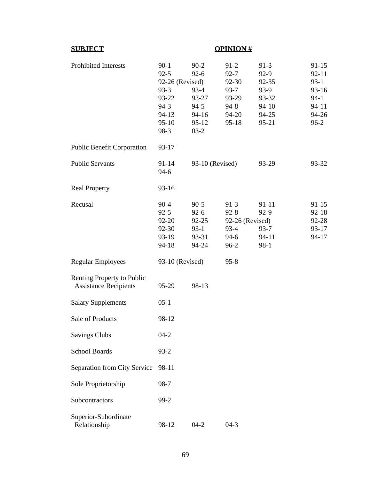| <b>Prohibited Interests</b>                                | $90-1$<br>$92 - 5$ | $90 - 2$<br>$92-6$ | $91-2$<br>$92 - 7$ | $91-3$<br>$92-9$ | $91-15$<br>$92 - 11$ |
|------------------------------------------------------------|--------------------|--------------------|--------------------|------------------|----------------------|
|                                                            | 92-26 (Revised)    |                    | $92 - 30$          | $92 - 35$        | $93-1$               |
|                                                            | $93-3$             | 93-4               | $93 - 7$           | $93-9$           | 93-16                |
|                                                            | 93-22              | 93-27              | 93-29              | 93-32            | $94-1$               |
|                                                            | $94-3$             | $94-5$             | $94 - 8$           | $94 - 10$        | $94 - 11$            |
|                                                            | $94 - 13$          | $94-16$            | 94-20              | 94-25            | 94-26                |
|                                                            | $95-10$            | $95 - 12$          | $95 - 18$          | $95 - 21$        | $96-2$               |
|                                                            | 98-3               | $03-2$             |                    |                  |                      |
| <b>Public Benefit Corporation</b>                          | $93 - 17$          |                    |                    |                  |                      |
| <b>Public Servants</b>                                     | $91 - 14$          | 93-10 (Revised)    |                    | 93-29            | 93-32                |
|                                                            | $94-6$             |                    |                    |                  |                      |
| <b>Real Property</b>                                       | $93 - 16$          |                    |                    |                  |                      |
| Recusal                                                    | $90 - 4$           | $90 - 5$           | $91-3$             | $91 - 11$        | $91 - 15$            |
|                                                            | $92 - 5$           | $92-6$             | $92 - 8$           | $92-9$           | $92 - 18$            |
|                                                            | 92-20              | $92 - 25$          | 92-26 (Revised)    |                  | 92-28                |
|                                                            | 92-30              | $93-1$             | $93-4$             | $93 - 7$         | $93 - 17$            |
|                                                            | 93-19              | 93-31              | $94-6$             | $94-11$          | $94 - 17$            |
|                                                            | $94 - 18$          | 94-24              | $96 - 2$           | $98-1$           |                      |
| <b>Regular Employees</b>                                   | 93-10 (Revised)    |                    | $95 - 8$           |                  |                      |
| Renting Property to Public<br><b>Assistance Recipients</b> | 95-29              | 98-13              |                    |                  |                      |
| <b>Salary Supplements</b>                                  | $05-1$             |                    |                    |                  |                      |
| Sale of Products                                           | 98-12              |                    |                    |                  |                      |
| <b>Savings Clubs</b>                                       | $04 - 2$           |                    |                    |                  |                      |
| <b>School Boards</b>                                       | $93 - 2$           |                    |                    |                  |                      |
| Separation from City Service                               | 98-11              |                    |                    |                  |                      |
| Sole Proprietorship                                        | 98-7               |                    |                    |                  |                      |
| Subcontractors                                             | $99 - 2$           |                    |                    |                  |                      |
| Superior-Subordinate<br>Relationship                       | 98-12              | $04-2$             | $04-3$             |                  |                      |